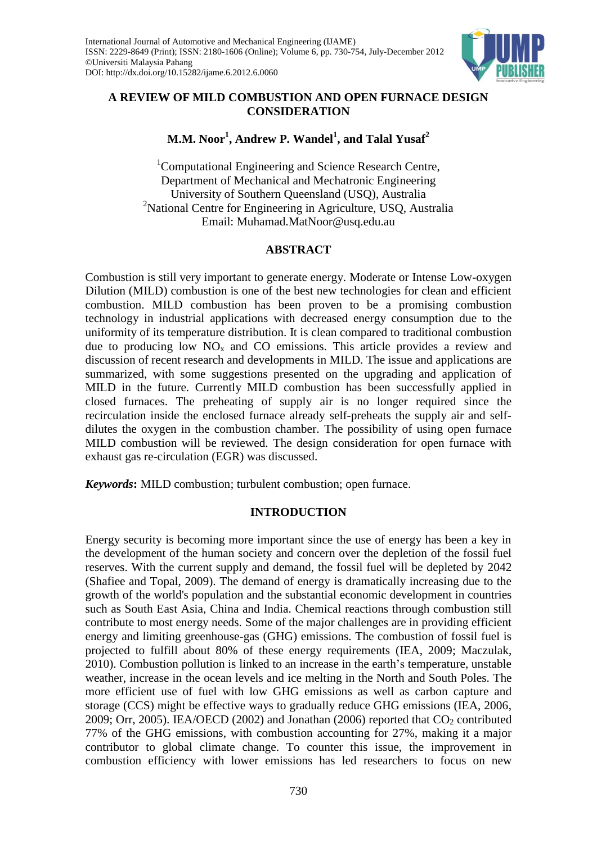

# **A REVIEW OF MILD COMBUSTION AND OPEN FURNACE DESIGN CONSIDERATION**

# **M.M. Noor<sup>1</sup> , Andrew P. Wandel<sup>1</sup> , and Talal Yusaf<sup>2</sup>**

<sup>1</sup>Computational Engineering and Science Research Centre, Department of Mechanical and Mechatronic Engineering University of Southern Queensland (USQ), Australia <sup>2</sup>National Centre for Engineering in Agriculture, USQ, Australia Email: Muhamad.MatNoor@usq.edu.au

# **ABSTRACT**

Combustion is still very important to generate energy. Moderate or Intense Low-oxygen Dilution (MILD) combustion is one of the best new technologies for clean and efficient combustion. MILD combustion has been proven to be a promising combustion technology in industrial applications with decreased energy consumption due to the uniformity of its temperature distribution. It is clean compared to traditional combustion due to producing low  $NO<sub>x</sub>$  and CO emissions. This article provides a review and discussion of recent research and developments in MILD. The issue and applications are summarized, with some suggestions presented on the upgrading and application of MILD in the future. Currently MILD combustion has been successfully applied in closed furnaces. The preheating of supply air is no longer required since the recirculation inside the enclosed furnace already self-preheats the supply air and selfdilutes the oxygen in the combustion chamber. The possibility of using open furnace MILD combustion will be reviewed. The design consideration for open furnace with exhaust gas re-circulation (EGR) was discussed.

*Keywords***:** MILD combustion; turbulent combustion; open furnace.

# **INTRODUCTION**

Energy security is becoming more important since the use of energy has been a key in the development of the human society and concern over the depletion of the fossil fuel reserves. With the current supply and demand, the fossil fuel will be depleted by 2042 (Shafiee and Topal, 2009). The demand of energy is dramatically increasing due to the growth of the world's population and the substantial economic development in countries such as South East Asia, China and India. Chemical reactions through combustion still contribute to most energy needs. Some of the major challenges are in providing efficient energy and limiting greenhouse-gas (GHG) emissions. The combustion of fossil fuel is projected to fulfill about 80% of these energy requirements (IEA, 2009; Maczulak, 2010). Combustion pollution is linked to an increase in the earth's temperature, unstable weather, increase in the ocean levels and ice melting in the North and South Poles. The more efficient use of fuel with low GHG emissions as well as carbon capture and storage (CCS) might be effective ways to gradually reduce GHG emissions (IEA, 2006, 2009; Orr, 2005). IEA/OECD (2002) and Jonathan (2006) reported that  $CO<sub>2</sub>$  contributed 77% of the GHG emissions, with combustion accounting for 27%, making it a major contributor to global climate change. To counter this issue, the improvement in combustion efficiency with lower emissions has led researchers to focus on new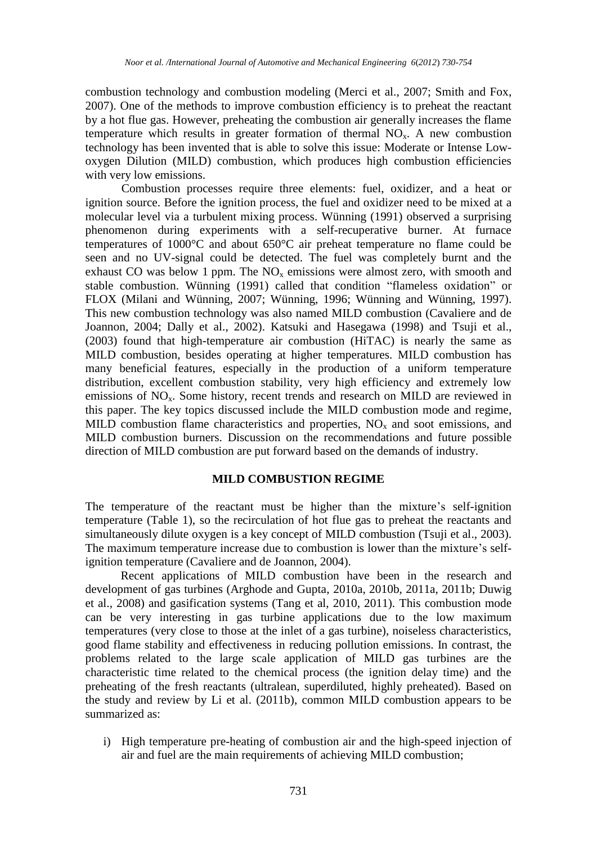combustion technology and combustion modeling (Merci et al., 2007; Smith and Fox, 2007). One of the methods to improve combustion efficiency is to preheat the reactant by a hot flue gas. However, preheating the combustion air generally increases the flame temperature which results in greater formation of thermal  $NO<sub>x</sub>$ . A new combustion technology has been invented that is able to solve this issue: Moderate or Intense Lowoxygen Dilution (MILD) combustion, which produces high combustion efficiencies with very low emissions.

Combustion processes require three elements: fuel, oxidizer, and a heat or ignition source. Before the ignition process, the fuel and oxidizer need to be mixed at a molecular level via a turbulent mixing process. Wünning (1991) observed a surprising phenomenon during experiments with a self-recuperative burner. At furnace temperatures of 1000°C and about 650°C air preheat temperature no flame could be seen and no UV-signal could be detected. The fuel was completely burnt and the exhaust CO was below 1 ppm. The  $NO<sub>x</sub>$  emissions were almost zero, with smooth and stable combustion. Wünning (1991) called that condition "flameless oxidation" or FLOX (Milani and Wünning, 2007; Wünning, 1996; Wünning and Wünning, 1997). This new combustion technology was also named MILD combustion (Cavaliere and de Joannon, 2004; Dally et al., 2002). Katsuki and Hasegawa (1998) and Tsuji et al., (2003) found that high-temperature air combustion (HiTAC) is nearly the same as MILD combustion, besides operating at higher temperatures. MILD combustion has many beneficial features, especially in the production of a uniform temperature distribution, excellent combustion stability, very high efficiency and extremely low emissions of  $NO<sub>x</sub>$ . Some history, recent trends and research on MILD are reviewed in this paper. The key topics discussed include the MILD combustion mode and regime, MILD combustion flame characteristics and properties,  $NO<sub>x</sub>$  and soot emissions, and MILD combustion burners. Discussion on the recommendations and future possible direction of MILD combustion are put forward based on the demands of industry.

### **MILD COMBUSTION REGIME**

The temperature of the reactant must be higher than the mixture's self-ignition temperature (Table 1), so the recirculation of hot flue gas to preheat the reactants and simultaneously dilute oxygen is a key concept of MILD combustion (Tsuji et al., 2003). The maximum temperature increase due to combustion is lower than the mixture's selfignition temperature (Cavaliere and de Joannon, 2004).

Recent applications of MILD combustion have been in the research and development of gas turbines (Arghode and Gupta, 2010a, 2010b, 2011a, 2011b; Duwig et al., 2008) and gasification systems (Tang et al, 2010, 2011). This combustion mode can be very interesting in gas turbine applications due to the low maximum temperatures (very close to those at the inlet of a gas turbine), noiseless characteristics, good flame stability and effectiveness in reducing pollution emissions. In contrast, the problems related to the large scale application of MILD gas turbines are the characteristic time related to the chemical process (the ignition delay time) and the preheating of the fresh reactants (ultralean, superdiluted, highly preheated). Based on the study and review by Li et al. (2011b), common MILD combustion appears to be summarized as:

i) High temperature pre-heating of combustion air and the high-speed injection of air and fuel are the main requirements of achieving MILD combustion;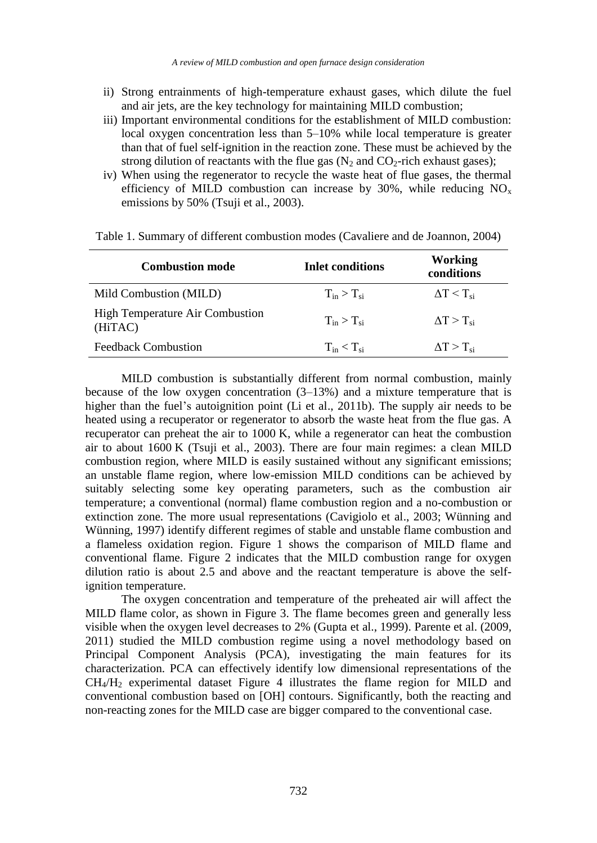- ii) Strong entrainments of high-temperature exhaust gases, which dilute the fuel and air jets, are the key technology for maintaining MILD combustion;
- iii) Important environmental conditions for the establishment of MILD combustion: local oxygen concentration less than 5–10% while local temperature is greater than that of fuel self-ignition in the reaction zone. These must be achieved by the strong dilution of reactants with the flue gas  $(N_2 \text{ and } CO_2\text{-rich}$  exhaust gases);
- iv) When using the regenerator to recycle the waste heat of flue gases, the thermal efficiency of MILD combustion can increase by 30%, while reducing  $NO<sub>x</sub>$ emissions by 50% (Tsuji et al., 2003).

| <b>Combustion mode</b>                            | <b>Inlet conditions</b>         | Working<br>conditions      |
|---------------------------------------------------|---------------------------------|----------------------------|
| Mild Combustion (MILD)                            | $T_{\rm in} > T_{\rm si}$       | $\Delta T \leq T_{\rm si}$ |
| <b>High Temperature Air Combustion</b><br>(HiTAC) | $T_{\text{in}} > T_{\text{si}}$ | $\Delta T > T_{\rm{si}}$   |
| <b>Feedback Combustion</b>                        | $T_{\rm in} < T_{\rm si}$       | $\Delta T > T_{\rm{si}}$   |

Table 1. Summary of different combustion modes (Cavaliere and de Joannon, 2004)

MILD combustion is substantially different from normal combustion, mainly because of the low oxygen concentration  $(3-13%)$  and a mixture temperature that is higher than the fuel's autoignition point (Li et al., 2011b). The supply air needs to be heated using a recuperator or regenerator to absorb the waste heat from the flue gas. A recuperator can preheat the air to 1000 K, while a regenerator can heat the combustion air to about 1600 K (Tsuji et al., 2003). There are four main regimes: a clean MILD combustion region, where MILD is easily sustained without any significant emissions; an unstable flame region, where low-emission MILD conditions can be achieved by suitably selecting some key operating parameters, such as the combustion air temperature; a conventional (normal) flame combustion region and a no-combustion or extinction zone. The more usual representations (Cavigiolo et al., 2003; Wünning and Wünning, 1997) identify different regimes of stable and unstable flame combustion and a flameless oxidation region. Figure 1 shows the comparison of MILD flame and conventional flame. Figure 2 indicates that the MILD combustion range for oxygen dilution ratio is about 2.5 and above and the reactant temperature is above the selfignition temperature.

The oxygen concentration and temperature of the preheated air will affect the MILD flame color, as shown in Figure 3. The flame becomes green and generally less visible when the oxygen level decreases to 2% (Gupta et al., 1999). Parente et al. (2009, 2011) studied the MILD combustion regime using a novel methodology based on Principal Component Analysis (PCA), investigating the main features for its characterization. PCA can effectively identify low dimensional representations of the CH4/H<sup>2</sup> experimental dataset Figure 4 illustrates the flame region for MILD and conventional combustion based on [OH] contours. Significantly, both the reacting and non-reacting zones for the MILD case are bigger compared to the conventional case.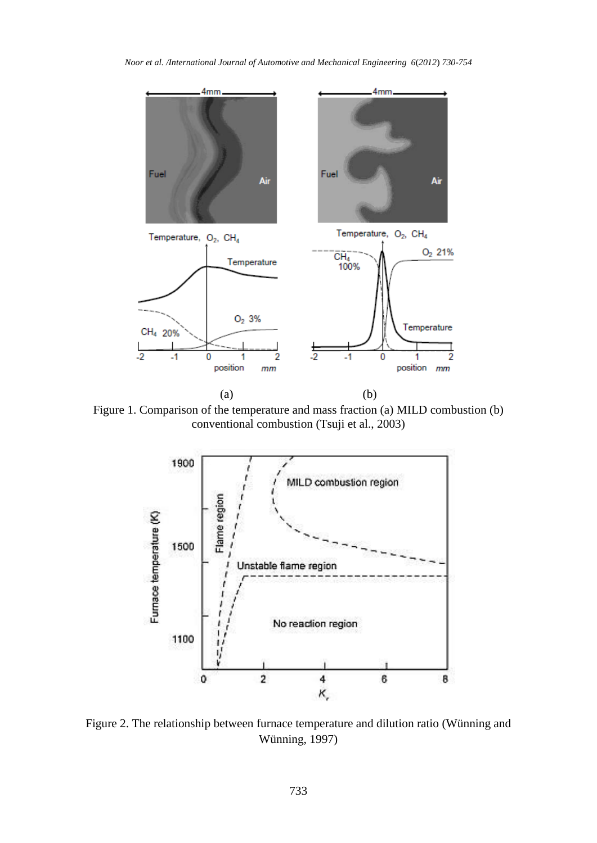*Noor et al. /International Journal of Automotive and Mechanical Engineering 6*(*2012*) *730-754*



Figure 1. Comparison of the temperature and mass fraction (a) MILD combustion (b) conventional combustion (Tsuji et al., 2003)



Figure 2. The relationship between furnace temperature and dilution ratio (Wünning and Wünning, 1997)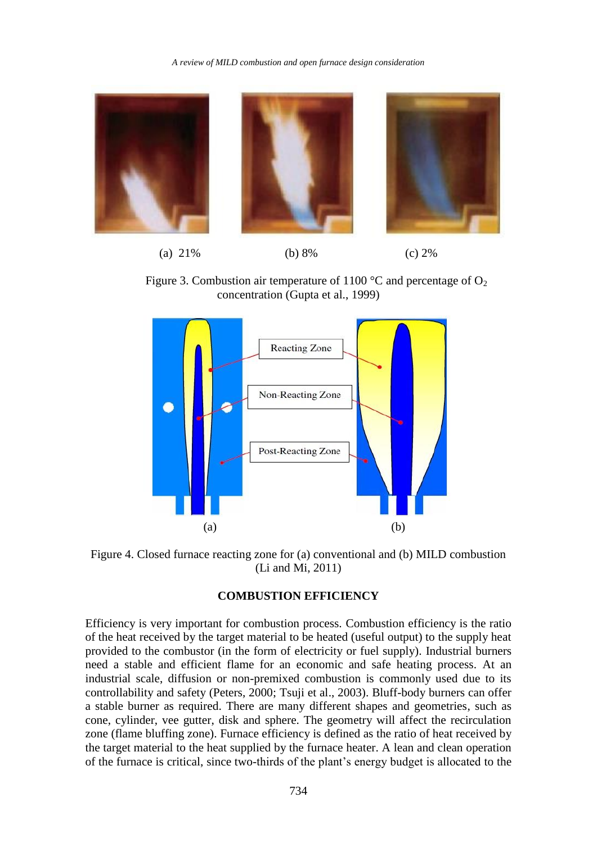*A review of MILD combustion and open furnace design consideration*



(a) 21% (b) 8% (c) 2%

Figure 3. Combustion air temperature of 1100  $^{\circ}$ C and percentage of O<sub>2</sub> concentration (Gupta et al., 1999)



Figure 4. Closed furnace reacting zone for (a) conventional and (b) MILD combustion (Li and Mi, 2011)

### **COMBUSTION EFFICIENCY**

Efficiency is very important for combustion process. Combustion efficiency is the ratio of the heat received by the target material to be heated (useful output) to the supply heat provided to the combustor (in the form of electricity or fuel supply). Industrial burners need a stable and efficient flame for an economic and safe heating process. At an industrial scale, diffusion or non-premixed combustion is commonly used due to its controllability and safety (Peters, 2000; Tsuji et al., 2003). Bluff-body burners can offer a stable burner as required. There are many different shapes and geometries, such as cone, cylinder, vee gutter, disk and sphere. The geometry will affect the recirculation zone (flame bluffing zone). Furnace efficiency is defined as the ratio of heat received by the target material to the heat supplied by the furnace heater. A lean and clean operation of the furnace is critical, since two-thirds of the plant's energy budget is allocated to the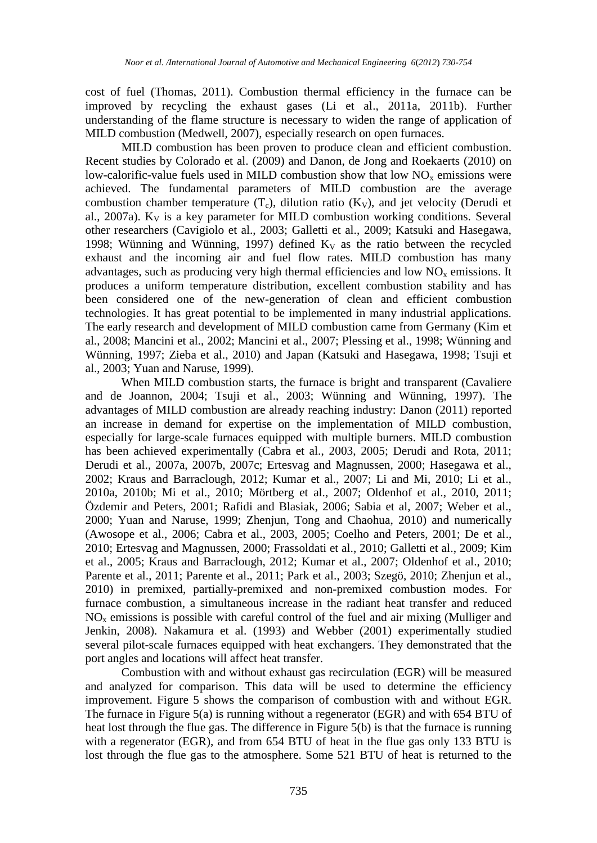cost of fuel (Thomas, 2011). Combustion thermal efficiency in the furnace can be improved by recycling the exhaust gases (Li et al., 2011a, 2011b). Further understanding of the flame structure is necessary to widen the range of application of MILD combustion (Medwell, 2007), especially research on open furnaces.

MILD combustion has been proven to produce clean and efficient combustion. Recent studies by Colorado et al. (2009) and Danon, de Jong and Roekaerts (2010) on low-calorific-value fuels used in MILD combustion show that low  $NO<sub>x</sub>$  emissions were achieved. The fundamental parameters of MILD combustion are the average combustion chamber temperature  $(T_c)$ , dilution ratio  $(K_V)$ , and jet velocity (Derudi et al., 2007a). K<sub>V</sub> is a key parameter for MILD combustion working conditions. Several other researchers (Cavigiolo et al., 2003; Galletti et al., 2009; Katsuki and Hasegawa, 1998; Wünning and Wünning, 1997) defined  $K_V$  as the ratio between the recycled exhaust and the incoming air and fuel flow rates. MILD combustion has many advantages, such as producing very high thermal efficiencies and low  $NO<sub>x</sub>$  emissions. It produces a uniform temperature distribution, excellent combustion stability and has been considered one of the new-generation of clean and efficient combustion technologies. It has great potential to be implemented in many industrial applications. The early research and development of MILD combustion came from Germany (Kim et al., 2008; Mancini et al., 2002; Mancini et al., 2007; Plessing et al., 1998; Wünning and Wünning, 1997; Zieba et al., 2010) and Japan (Katsuki and Hasegawa, 1998; Tsuji et al., 2003; Yuan and Naruse, 1999).

When MILD combustion starts, the furnace is bright and transparent (Cavaliere and de Joannon, 2004; Tsuji et al., 2003; Wünning and Wünning, 1997). The advantages of MILD combustion are already reaching industry: Danon (2011) reported an increase in demand for expertise on the implementation of MILD combustion, especially for large-scale furnaces equipped with multiple burners. MILD combustion has been achieved experimentally (Cabra et al., 2003, 2005; Derudi and Rota, 2011; Derudi et al., 2007a, 2007b, 2007c; Ertesvag and Magnussen, 2000; Hasegawa et al., 2002; Kraus and Barraclough, 2012; Kumar et al., 2007; Li and Mi, 2010; Li et al., 2010a, 2010b; Mi et al., 2010; Mörtberg et al., 2007; Oldenhof et al., 2010, 2011; Özdemir and Peters, 2001; Rafidi and Blasiak, 2006; Sabia et al, 2007; Weber et al., 2000; Yuan and Naruse, 1999; Zhenjun, Tong and Chaohua, 2010) and numerically (Awosope et al., 2006; Cabra et al., 2003, 2005; Coelho and Peters, 2001; De et al., 2010; Ertesvag and Magnussen, 2000; Frassoldati et al., 2010; Galletti et al., 2009; Kim et al., 2005; Kraus and Barraclough, 2012; Kumar et al., 2007; Oldenhof et al., 2010; Parente et al., 2011; Parente et al., 2011; Park et al., 2003; Szegö, 2010; Zhenjun et al., 2010) in premixed, partially-premixed and non-premixed combustion modes. For furnace combustion, a simultaneous increase in the radiant heat transfer and reduced  $NO<sub>x</sub>$  emissions is possible with careful control of the fuel and air mixing (Mulliger and Jenkin, 2008). Nakamura et al. (1993) and Webber (2001) experimentally studied several pilot-scale furnaces equipped with heat exchangers. They demonstrated that the port angles and locations will affect heat transfer.

Combustion with and without exhaust gas recirculation (EGR) will be measured and analyzed for comparison. This data will be used to determine the efficiency improvement. Figure 5 shows the comparison of combustion with and without EGR. The furnace in Figure 5(a) is running without a regenerator (EGR) and with 654 BTU of heat lost through the flue gas. The difference in Figure 5(b) is that the furnace is running with a regenerator (EGR), and from 654 BTU of heat in the flue gas only 133 BTU is lost through the flue gas to the atmosphere. Some 521 BTU of heat is returned to the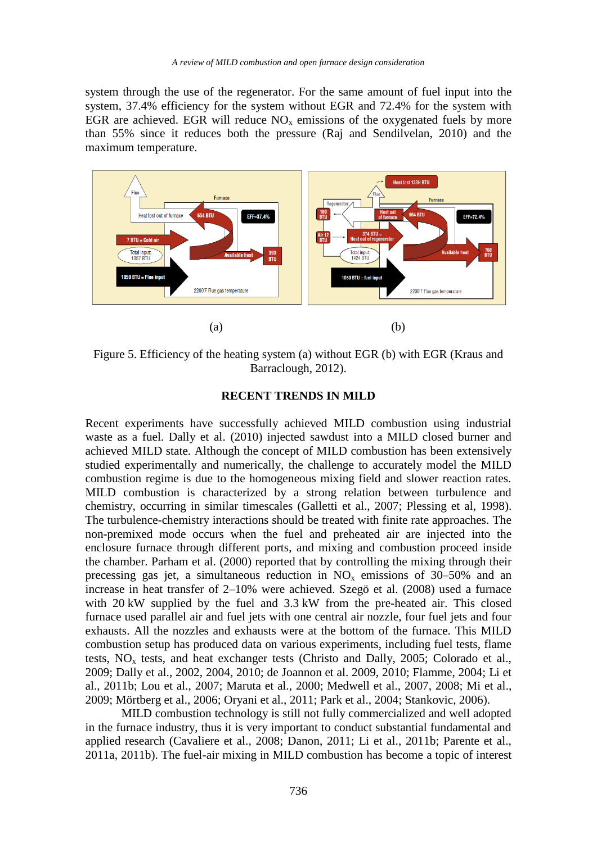system through the use of the regenerator. For the same amount of fuel input into the system, 37.4% efficiency for the system without EGR and 72.4% for the system with EGR are achieved. EGR will reduce  $NO<sub>x</sub>$  emissions of the oxygenated fuels by more than 55% since it reduces both the pressure (Raj and Sendilvelan, 2010) and the maximum temperature.



Figure 5. Efficiency of the heating system (a) without EGR (b) with EGR (Kraus and Barraclough, 2012).

### **RECENT TRENDS IN MILD**

Recent experiments have successfully achieved MILD combustion using industrial waste as a fuel. Dally et al. (2010) injected sawdust into a MILD closed burner and achieved MILD state. Although the concept of MILD combustion has been extensively studied experimentally and numerically, the challenge to accurately model the MILD combustion regime is due to the homogeneous mixing field and slower reaction rates. MILD combustion is characterized by a strong relation between turbulence and chemistry, occurring in similar timescales (Galletti et al., 2007; Plessing et al, 1998). The turbulence-chemistry interactions should be treated with finite rate approaches. The non-premixed mode occurs when the fuel and preheated air are injected into the enclosure furnace through different ports, and mixing and combustion proceed inside the chamber. Parham et al. (2000) reported that by controlling the mixing through their precessing gas jet, a simultaneous reduction in  $NO_x$  emissions of 30–50% and an increase in heat transfer of 2–10% were achieved. Szegö et al. (2008) used a furnace with 20 kW supplied by the fuel and 3.3 kW from the pre-heated air. This closed furnace used parallel air and fuel jets with one central air nozzle, four fuel jets and four exhausts. All the nozzles and exhausts were at the bottom of the furnace. This MILD combustion setup has produced data on various experiments, including fuel tests, flame tests,  $NO<sub>x</sub>$  tests, and heat exchanger tests (Christo and Dally, 2005; Colorado et al., 2009; Dally et al., 2002, 2004, 2010; de Joannon et al. 2009, 2010; Flamme, 2004; Li et al., 2011b; Lou et al., 2007; Maruta et al., 2000; Medwell et al., 2007, 2008; Mi et al., 2009; Mörtberg et al., 2006; Oryani et al., 2011; Park et al., 2004; Stankovic, 2006).

MILD combustion technology is still not fully commercialized and well adopted in the furnace industry, thus it is very important to conduct substantial fundamental and applied research (Cavaliere et al., 2008; Danon, 2011; Li et al., 2011b; Parente et al., 2011a, 2011b). The fuel-air mixing in MILD combustion has become a topic of interest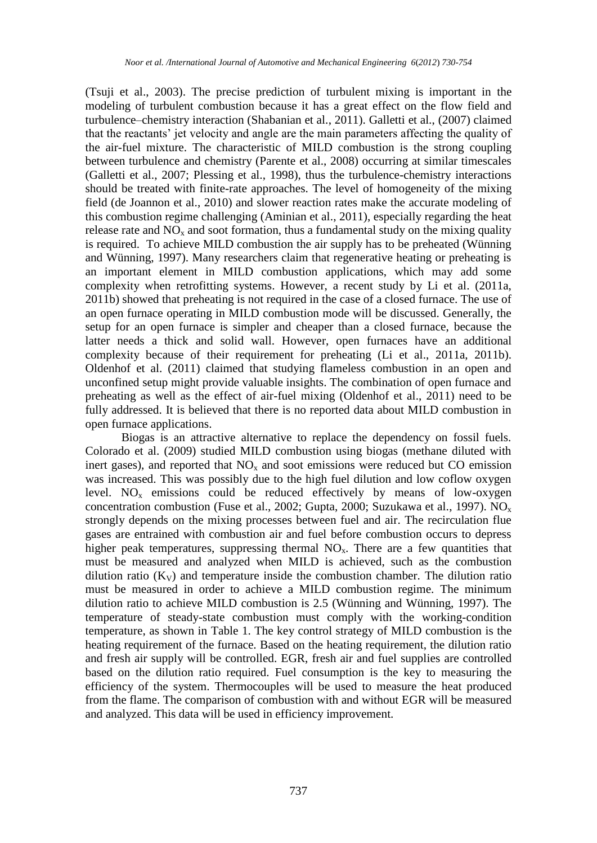(Tsuji et al., 2003). The precise prediction of turbulent mixing is important in the modeling of turbulent combustion because it has a great effect on the flow field and turbulence–chemistry interaction (Shabanian et al., 2011). Galletti et al., (2007) claimed that the reactants' jet velocity and angle are the main parameters affecting the quality of the air-fuel mixture. The characteristic of MILD combustion is the strong coupling between turbulence and chemistry (Parente et al., 2008) occurring at similar timescales (Galletti et al., 2007; Plessing et al., 1998), thus the turbulence-chemistry interactions should be treated with finite-rate approaches. The level of homogeneity of the mixing field (de Joannon et al., 2010) and slower reaction rates make the accurate modeling of this combustion regime challenging (Aminian et al., 2011), especially regarding the heat release rate and  $NO<sub>x</sub>$  and soot formation, thus a fundamental study on the mixing quality is required. To achieve MILD combustion the air supply has to be preheated (Wünning and Wünning, 1997). Many researchers claim that regenerative heating or preheating is an important element in MILD combustion applications, which may add some complexity when retrofitting systems. However, a recent study by Li et al. (2011a, 2011b) showed that preheating is not required in the case of a closed furnace. The use of an open furnace operating in MILD combustion mode will be discussed. Generally, the setup for an open furnace is simpler and cheaper than a closed furnace, because the latter needs a thick and solid wall. However, open furnaces have an additional complexity because of their requirement for preheating (Li et al., 2011a, 2011b). Oldenhof et al. (2011) claimed that studying flameless combustion in an open and unconfined setup might provide valuable insights. The combination of open furnace and preheating as well as the effect of air-fuel mixing (Oldenhof et al., 2011) need to be fully addressed. It is believed that there is no reported data about MILD combustion in open furnace applications.

Biogas is an attractive alternative to replace the dependency on fossil fuels. Colorado et al. (2009) studied MILD combustion using biogas (methane diluted with inert gases), and reported that  $NO<sub>x</sub>$  and soot emissions were reduced but CO emission was increased. This was possibly due to the high fuel dilution and low coflow oxygen level.  $NO<sub>x</sub>$  emissions could be reduced effectively by means of low-oxygen concentration combustion (Fuse et al., 2002; Gupta, 2000; Suzukawa et al., 1997).  $NO_x$ strongly depends on the mixing processes between fuel and air. The recirculation flue gases are entrained with combustion air and fuel before combustion occurs to depress higher peak temperatures, suppressing thermal  $NO<sub>x</sub>$ . There are a few quantities that must be measured and analyzed when MILD is achieved, such as the combustion dilution ratio  $(K_v)$  and temperature inside the combustion chamber. The dilution ratio must be measured in order to achieve a MILD combustion regime. The minimum dilution ratio to achieve MILD combustion is 2.5 (Wünning and Wünning, 1997). The temperature of steady-state combustion must comply with the working-condition temperature, as shown in Table 1. The key control strategy of MILD combustion is the heating requirement of the furnace. Based on the heating requirement, the dilution ratio and fresh air supply will be controlled. EGR, fresh air and fuel supplies are controlled based on the dilution ratio required. Fuel consumption is the key to measuring the efficiency of the system. Thermocouples will be used to measure the heat produced from the flame. The comparison of combustion with and without EGR will be measured and analyzed. This data will be used in efficiency improvement.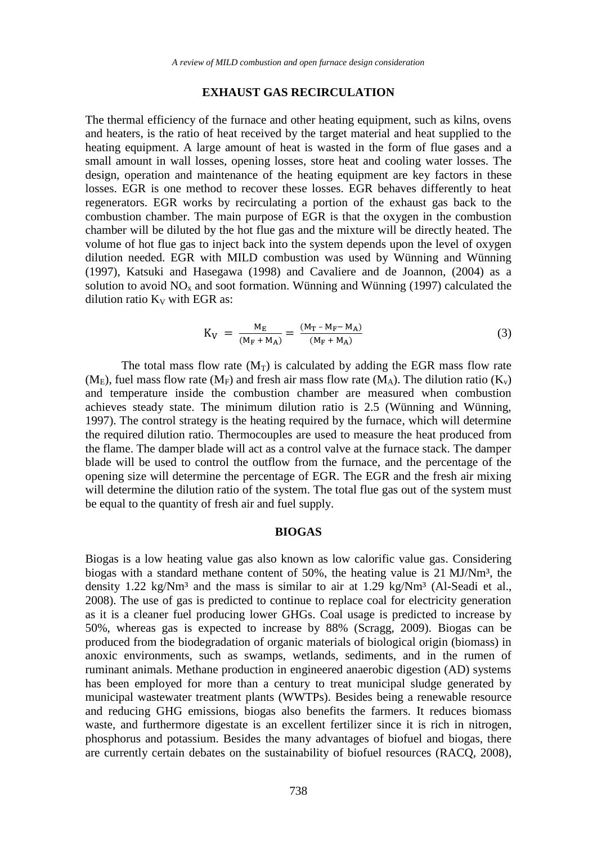#### **EXHAUST GAS RECIRCULATION**

The thermal efficiency of the furnace and other heating equipment, such as kilns, ovens and heaters, is the ratio of heat received by the target material and heat supplied to the heating equipment. A large amount of heat is wasted in the form of flue gases and a small amount in wall losses, opening losses, store heat and cooling water losses. The design, operation and maintenance of the heating equipment are key factors in these losses. EGR is one method to recover these losses. EGR behaves differently to heat regenerators. EGR works by recirculating a portion of the exhaust gas back to the combustion chamber. The main purpose of EGR is that the oxygen in the combustion chamber will be diluted by the hot flue gas and the mixture will be directly heated. The volume of hot flue gas to inject back into the system depends upon the level of oxygen dilution needed. EGR with MILD combustion was used by Wünning and Wünning (1997), Katsuki and Hasegawa (1998) and Cavaliere and de Joannon, (2004) as a solution to avoid  $NO<sub>x</sub>$  and soot formation. Wünning and Wünning (1997) calculated the dilution ratio  $K_V$  with EGR as:

$$
K_V = \frac{M_E}{(M_F + M_A)} = \frac{(M_T - M_F - M_A)}{(M_F + M_A)}
$$
(3)

The total mass flow rate  $(M_T)$  is calculated by adding the EGR mass flow rate ( $M_E$ ), fuel mass flow rate ( $M_F$ ) and fresh air mass flow rate ( $M_A$ ). The dilution ratio ( $K_v$ ) and temperature inside the combustion chamber are measured when combustion achieves steady state. The minimum dilution ratio is 2.5 (Wünning and Wünning, 1997). The control strategy is the heating required by the furnace, which will determine the required dilution ratio. Thermocouples are used to measure the heat produced from the flame. The damper blade will act as a control valve at the furnace stack. The damper blade will be used to control the outflow from the furnace, and the percentage of the opening size will determine the percentage of EGR. The EGR and the fresh air mixing will determine the dilution ratio of the system. The total flue gas out of the system must be equal to the quantity of fresh air and fuel supply.

#### **BIOGAS**

Biogas is a low heating value gas also known as low calorific value gas. Considering biogas with a standard methane content of  $50\%$ , the heating value is 21 MJ/Nm<sup>3</sup>, the density 1.22 kg/Nm<sup>3</sup> and the mass is similar to air at 1.29 kg/Nm<sup>3</sup> (Al-Seadi et al., 2008). The use of gas is predicted to continue to replace coal for electricity generation as it is a cleaner fuel producing lower GHGs. Coal usage is predicted to increase by 50%, whereas gas is expected to increase by 88% (Scragg, 2009). Biogas can be produced from the biodegradation of organic materials of biological origin (biomass) in anoxic environments, such as swamps, wetlands, sediments, and in the rumen of ruminant animals. Methane production in engineered anaerobic digestion (AD) systems has been employed for more than a century to treat municipal sludge generated by municipal wastewater treatment plants (WWTPs). Besides being a renewable resource and reducing GHG emissions, biogas also benefits the farmers. It reduces biomass waste, and furthermore digestate is an excellent fertilizer since it is rich in nitrogen, phosphorus and potassium. Besides the many advantages of biofuel and biogas, there are currently certain debates on the sustainability of biofuel resources (RACQ, 2008),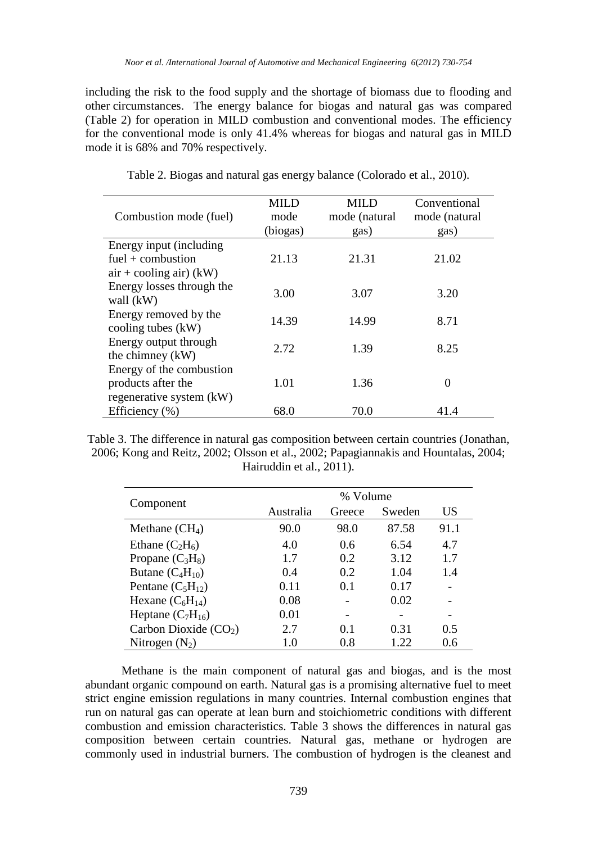including the risk to the food supply and the shortage of biomass due to flooding and other circumstances. The energy balance for biogas and natural gas was compared (Table 2) for operation in MILD combustion and conventional modes. The efficiency for the conventional mode is only 41.4% whereas for biogas and natural gas in MILD mode it is 68% and 70% respectively.

|                           | <b>MILD</b> | <b>MILD</b>   | Conventional  |
|---------------------------|-------------|---------------|---------------|
| Combustion mode (fuel)    | mode        | mode (natural | mode (natural |
|                           | (biogas)    | gas)          | gas)          |
| Energy input (including)  |             |               |               |
| $fuel + combustion$       | 21.13       | 21.31         | 21.02         |
| $air + cooling air)$ (kW) |             |               |               |
| Energy losses through the | 3.00        | 3.07          | 3.20          |
| wall (kW)                 |             |               |               |
| Energy removed by the     | 14.39       | 14.99         | 8.71          |
| cooling tubes $(kW)$      |             |               |               |
| Energy output through     | 2.72        | 1.39          | 8.25          |
| the chimney $(kW)$        |             |               |               |
| Energy of the combustion  |             |               |               |
| products after the        | 1.01        | 1.36          | $\Omega$      |
| regenerative system (kW)  |             |               |               |
| Efficiency $(\% )$        | 68.0        | 70.0          | 41.4          |

Table 2. Biogas and natural gas energy balance (Colorado et al., 2010).

Table 3. The difference in natural gas composition between certain countries (Jonathan, 2006; Kong and Reitz, 2002; Olsson et al., 2002; Papagiannakis and Hountalas, 2004; Hairuddin et al., 2011).

| Component              | % Volume  |        |        |                          |
|------------------------|-----------|--------|--------|--------------------------|
|                        | Australia | Greece | Sweden | US                       |
| Methane $(CH_4)$       | 90.0      | 98.0   | 87.58  | 91.1                     |
| Ethane $(C_2H_6)$      | 4.0       | 0.6    | 6.54   | 4.7                      |
| Propane $(C_3H_8)$     | 1.7       | 0.2    | 3.12   | 1.7                      |
| Butane $(C_4H_{10})$   | 0.4       | 0.2    | 1.04   | 1.4                      |
| Pentane $(C_5H_{12})$  | 0.11      | 0.1    | 0.17   |                          |
| Hexane $(C_6H_{14})$   | 0.08      |        | 0.02   |                          |
| Heptane $(C_7H_{16})$  | 0.01      |        |        | $\overline{\phantom{0}}$ |
| Carbon Dioxide $(CO2)$ | 2.7       | 0.1    | 0.31   | 0.5                      |
| Nitrogen $(N_2)$       | 1.0       | 0.8    | 1.22   | 0.6                      |

Methane is the main component of natural gas and biogas, and is the most abundant organic compound on earth. Natural gas is a promising alternative fuel to meet strict engine emission regulations in many countries. Internal combustion engines that run on natural gas can operate at lean burn and stoichiometric conditions with different combustion and emission characteristics. Table 3 shows the differences in natural gas composition between certain countries. Natural gas, methane or hydrogen are commonly used in industrial burners. The combustion of hydrogen is the cleanest and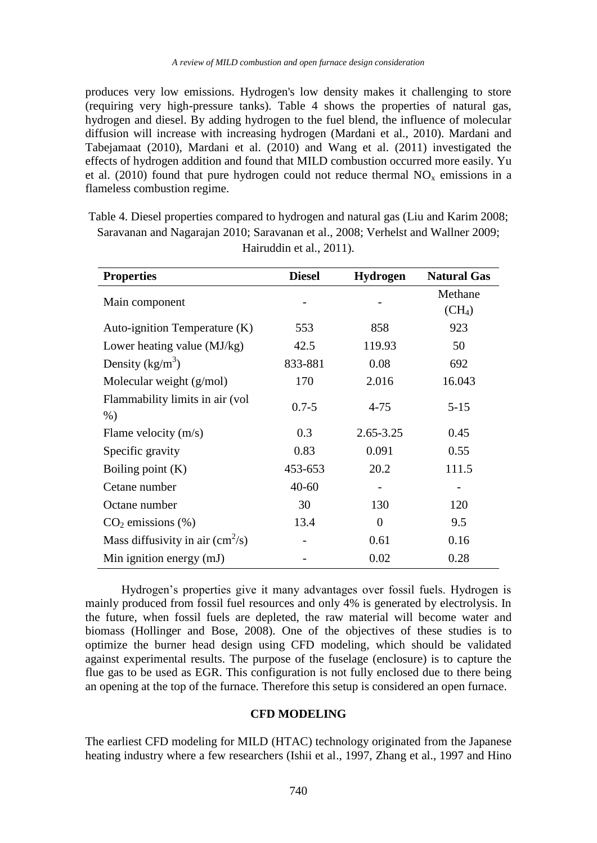produces very low emissions. Hydrogen's low density makes it challenging to store (requiring very high-pressure tanks). Table 4 shows the properties of natural gas, hydrogen and diesel. By adding hydrogen to the fuel blend, the influence of molecular diffusion will increase with increasing hydrogen (Mardani et al., 2010). Mardani and Tabejamaat (2010), Mardani et al. (2010) and Wang et al. (2011) investigated the effects of hydrogen addition and found that MILD combustion occurred more easily. Yu et al. (2010) found that pure hydrogen could not reduce thermal  $NO<sub>x</sub>$  emissions in a flameless combustion regime.

Table 4. Diesel properties compared to hydrogen and natural gas (Liu and Karim 2008; Saravanan and Nagarajan 2010; Saravanan et al., 2008; Verhelst and Wallner 2009; Hairuddin et al., 2011).

| <b>Properties</b>                                | <b>Diesel</b> | <b>Hydrogen</b> | <b>Natural Gas</b> |
|--------------------------------------------------|---------------|-----------------|--------------------|
| Main component                                   |               |                 | Methane            |
|                                                  |               |                 | (CH <sub>4</sub> ) |
| Auto-ignition Temperature (K)                    | 553           | 858             | 923                |
| Lower heating value (MJ/kg)                      | 42.5          | 119.93          | 50                 |
| Density $(kg/m^3)$                               | 833-881       | 0.08            | 692                |
| Molecular weight $(g/mol)$                       | 170           | 2.016           | 16.043             |
| Flammability limits in air (vol                  | $0.7 - 5$     | $4 - 75$        | $5 - 15$           |
| $%$ )                                            |               |                 |                    |
| Flame velocity $(m/s)$                           | 0.3           | 2.65-3.25       | 0.45               |
| Specific gravity                                 | 0.83          | 0.091           | 0.55               |
| Boiling point $(K)$                              | 453-653       | 20.2            | 111.5              |
| Cetane number                                    | $40 - 60$     |                 |                    |
| Octane number                                    | 30            | 130             | 120                |
| $CO2$ emissions $(\%)$                           | 13.4          | $\overline{0}$  | 9.5                |
| Mass diffusivity in air $\text{(cm}^2\text{/s)}$ |               | 0.61            | 0.16               |
| Min ignition energy (mJ)                         |               | 0.02            | 0.28               |

Hydrogen's properties give it many advantages over fossil fuels. Hydrogen is mainly produced from fossil fuel resources and only 4% is generated by electrolysis. In the future, when fossil fuels are depleted, the raw material will become water and biomass (Hollinger and Bose, 2008). One of the objectives of these studies is to optimize the burner head design using CFD modeling, which should be validated against experimental results. The purpose of the fuselage (enclosure) is to capture the flue gas to be used as EGR. This configuration is not fully enclosed due to there being an opening at the top of the furnace. Therefore this setup is considered an open furnace.

### **CFD MODELING**

The earliest CFD modeling for MILD (HTAC) technology originated from the Japanese heating industry where a few researchers (Ishii et al., 1997, Zhang et al., 1997 and Hino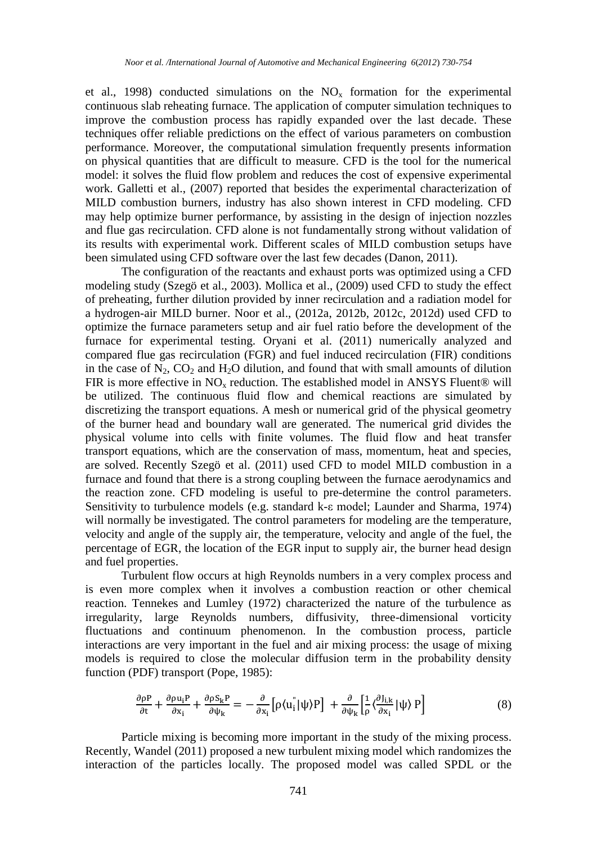et al., 1998) conducted simulations on the  $NO<sub>x</sub>$  formation for the experimental continuous slab reheating furnace. The application of computer simulation techniques to improve the combustion process has rapidly expanded over the last decade. These techniques offer reliable predictions on the effect of various parameters on combustion performance. Moreover, the computational simulation frequently presents information on physical quantities that are difficult to measure. CFD is the tool for the numerical model: it solves the fluid flow problem and reduces the cost of expensive experimental work. Galletti et al., (2007) reported that besides the experimental characterization of MILD combustion burners, industry has also shown interest in CFD modeling. CFD may help optimize burner performance, by assisting in the design of injection nozzles and flue gas recirculation. CFD alone is not fundamentally strong without validation of its results with experimental work. Different scales of MILD combustion setups have been simulated using CFD software over the last few decades (Danon, 2011).

The configuration of the reactants and exhaust ports was optimized using a CFD modeling study (Szegö et al., 2003). Mollica et al., (2009) used CFD to study the effect of preheating, further dilution provided by inner recirculation and a radiation model for a hydrogen-air MILD burner. Noor et al., (2012a, 2012b, 2012c, 2012d) used CFD to optimize the furnace parameters setup and air fuel ratio before the development of the furnace for experimental testing. Oryani et al. (2011) numerically analyzed and compared flue gas recirculation (FGR) and fuel induced recirculation (FIR) conditions in the case of  $N_2$ ,  $CO_2$  and  $H_2O$  dilution, and found that with small amounts of dilution FIR is more effective in  $NO<sub>x</sub>$  reduction. The established model in ANSYS Fluent® will be utilized. The continuous fluid flow and chemical reactions are simulated by discretizing the transport equations. A mesh or numerical grid of the physical geometry of the burner head and boundary wall are generated. The numerical grid divides the physical volume into cells with finite volumes. The fluid flow and heat transfer transport equations, which are the conservation of mass, momentum, heat and species, are solved. Recently Szegö et al. (2011) used CFD to model MILD combustion in a furnace and found that there is a strong coupling between the furnace aerodynamics and the reaction zone. CFD modeling is useful to pre-determine the control parameters. Sensitivity to turbulence models (e.g. standard k-ε model; Launder and Sharma, 1974) will normally be investigated. The control parameters for modeling are the temperature, velocity and angle of the supply air, the temperature, velocity and angle of the fuel, the percentage of EGR, the location of the EGR input to supply air, the burner head design and fuel properties.

Turbulent flow occurs at high Reynolds numbers in a very complex process and is even more complex when it involves a combustion reaction or other chemical reaction. Tennekes and Lumley (1972) characterized the nature of the turbulence as irregularity, large Reynolds numbers, diffusivity, three-dimensional vorticity fluctuations and continuum phenomenon. In the combustion process, particle interactions are very important in the fuel and air mixing process: the usage of mixing models is required to close the molecular diffusion term in the probability density function (PDF) transport (Pope, 1985):

$$
\frac{\partial \rho P}{\partial t} + \frac{\partial \rho u_i P}{\partial x_i} + \frac{\partial \rho S_k P}{\partial \psi_k} = -\frac{\partial}{\partial x_i} \left[ \rho \langle u_i^\dagger | \psi \rangle P \right] + \frac{\partial}{\partial \psi_k} \left[ \frac{1}{\rho} \langle \frac{\partial J_{i,k}}{\partial x_i} | \psi \rangle P \right]
$$
(8)

Particle mixing is becoming more important in the study of the mixing process. Recently, Wandel (2011) proposed a new turbulent mixing model which randomizes the interaction of the particles locally. The proposed model was called SPDL or the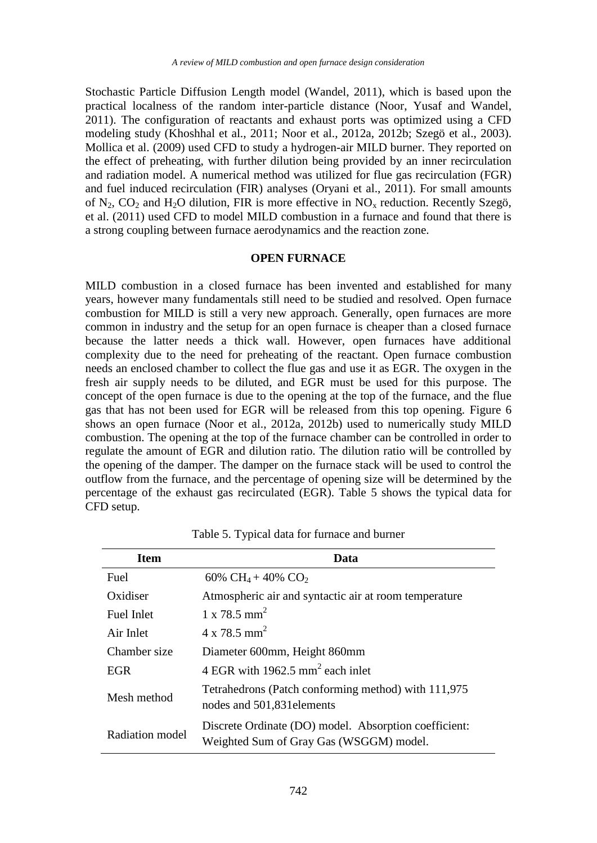Stochastic Particle Diffusion Length model (Wandel, 2011), which is based upon the practical localness of the random inter-particle distance (Noor, Yusaf and Wandel, 2011). The configuration of reactants and exhaust ports was optimized using a CFD modeling study (Khoshhal et al., 2011; Noor et al., 2012a, 2012b; Szegö et al., 2003). Mollica et al. (2009) used CFD to study a hydrogen-air MILD burner. They reported on the effect of preheating, with further dilution being provided by an inner recirculation and radiation model. A numerical method was utilized for flue gas recirculation (FGR) and fuel induced recirculation (FIR) analyses (Oryani et al., 2011). For small amounts of  $N_2$ ,  $CO_2$  and  $H_2O$  dilution, FIR is more effective in  $NO_x$  reduction. Recently Szegö, et al. (2011) used CFD to model MILD combustion in a furnace and found that there is a strong coupling between furnace aerodynamics and the reaction zone.

## **OPEN FURNACE**

MILD combustion in a closed furnace has been invented and established for many years, however many fundamentals still need to be studied and resolved. Open furnace combustion for MILD is still a very new approach. Generally, open furnaces are more common in industry and the setup for an open furnace is cheaper than a closed furnace because the latter needs a thick wall. However, open furnaces have additional complexity due to the need for preheating of the reactant. Open furnace combustion needs an enclosed chamber to collect the flue gas and use it as EGR. The oxygen in the fresh air supply needs to be diluted, and EGR must be used for this purpose. The concept of the open furnace is due to the opening at the top of the furnace, and the flue gas that has not been used for EGR will be released from this top opening. Figure 6 shows an open furnace (Noor et al., 2012a, 2012b) used to numerically study MILD combustion. The opening at the top of the furnace chamber can be controlled in order to regulate the amount of EGR and dilution ratio. The dilution ratio will be controlled by the opening of the damper. The damper on the furnace stack will be used to control the outflow from the furnace, and the percentage of opening size will be determined by the percentage of the exhaust gas recirculated (EGR). Table 5 shows the typical data for CFD setup.

| <b>Item</b>       | Data                                                                                             |
|-------------------|--------------------------------------------------------------------------------------------------|
| Fuel              | 60% CH <sub>4</sub> + 40% CO <sub>2</sub>                                                        |
| Oxidiser          | Atmospheric air and syntactic air at room temperature                                            |
| <b>Fuel Inlet</b> | $1 \times 78.5$ mm <sup>2</sup>                                                                  |
| Air Inlet         | $4 \times 78.5$ mm <sup>2</sup>                                                                  |
| Chamber size      | Diameter 600mm, Height 860mm                                                                     |
| EGR               | 4 EGR with 1962.5 mm <sup>2</sup> each inlet                                                     |
| Mesh method       | Tetrahedrons (Patch conforming method) with 111,975<br>nodes and 501,831 elements                |
| Radiation model   | Discrete Ordinate (DO) model. Absorption coefficient:<br>Weighted Sum of Gray Gas (WSGGM) model. |

Table 5. Typical data for furnace and burner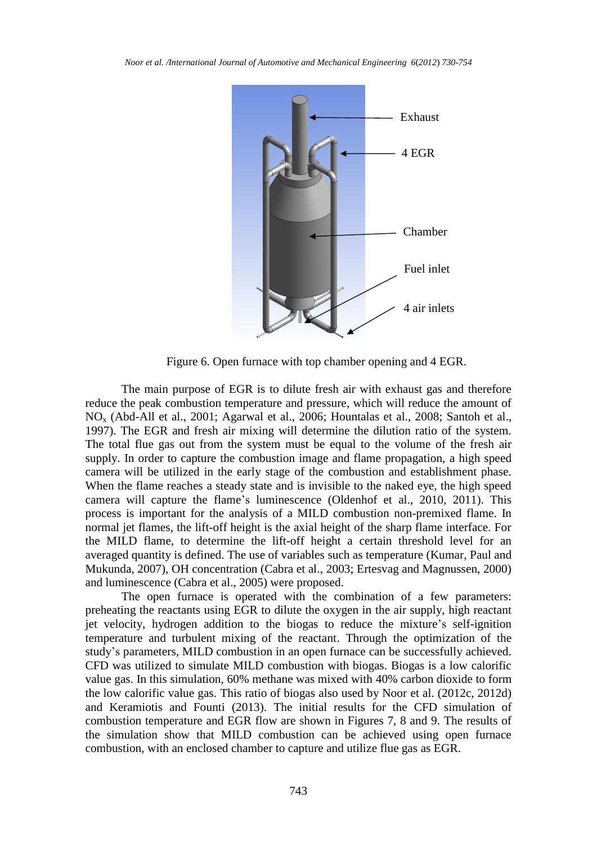

Figure 6. Open furnace with top chamber opening and 4 EGR.

The main purpose of EGR is to dilute fresh air with exhaust gas and therefore reduce the peak combustion temperature and pressure, which will reduce the amount of NO<sup>x</sup> (Abd-All et al., 2001; Agarwal et al., 2006; Hountalas et al., 2008; Santoh et al., 1997). The EGR and fresh air mixing will determine the dilution ratio of the system. The total flue gas out from the system must be equal to the volume of the fresh air supply. In order to capture the combustion image and flame propagation, a high speed camera will be utilized in the early stage of the combustion and establishment phase. When the flame reaches a steady state and is invisible to the naked eye, the high speed camera will capture the flame's luminescence (Oldenhof et al., 2010, 2011). This process is important for the analysis of a MILD combustion non-premixed flame. In normal jet flames, the lift-off height is the axial height of the sharp flame interface. For the MILD flame, to determine the lift-off height a certain threshold level for an averaged quantity is defined. The use of variables such as temperature (Kumar, Paul and Mukunda, 2007), OH concentration (Cabra et al., 2003; Ertesvag and Magnussen, 2000) and luminescence (Cabra et al., 2005) were proposed.

The open furnace is operated with the combination of a few parameters: preheating the reactants using EGR to dilute the oxygen in the air supply, high reactant jet velocity, hydrogen addition to the biogas to reduce the mixture's self-ignition temperature and turbulent mixing of the reactant. Through the optimization of the study's parameters, MILD combustion in an open furnace can be successfully achieved. CFD was utilized to simulate MILD combustion with biogas. Biogas is a low calorific value gas. In this simulation, 60% methane was mixed with 40% carbon dioxide to form the low calorific value gas. This ratio of biogas also used by Noor et al. (2012c, 2012d) and Keramiotis and Founti (2013). The initial results for the CFD simulation of combustion temperature and EGR flow are shown in Figures 7, 8 and 9. The results of the simulation show that MILD combustion can be achieved using open furnace combustion, with an enclosed chamber to capture and utilize flue gas as EGR.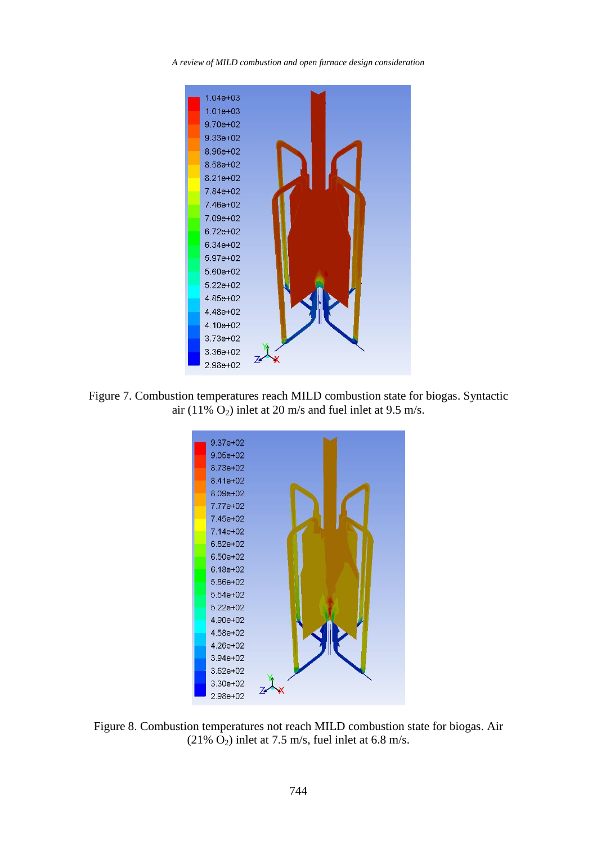*A review of MILD combustion and open furnace design consideration*



Figure 7. Combustion temperatures reach MILD combustion state for biogas. Syntactic air (11%  $O_2$ ) inlet at 20 m/s and fuel inlet at 9.5 m/s.



Figure 8. Combustion temperatures not reach MILD combustion state for biogas. Air  $(21\% \text{ O}_2)$  inlet at 7.5 m/s, fuel inlet at 6.8 m/s.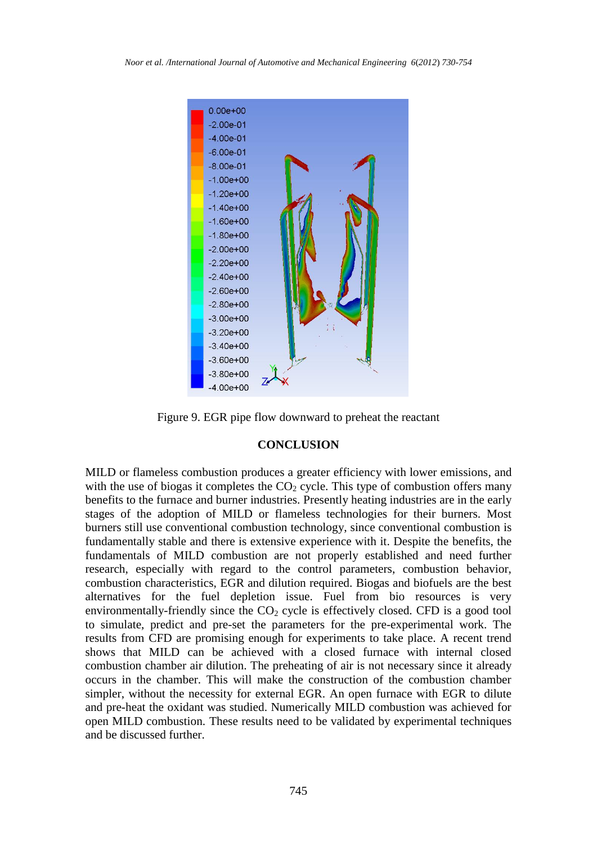

Figure 9. EGR pipe flow downward to preheat the reactant

# **CONCLUSION**

MILD or flameless combustion produces a greater efficiency with lower emissions, and with the use of biogas it completes the  $CO<sub>2</sub>$  cycle. This type of combustion offers many benefits to the furnace and burner industries. Presently heating industries are in the early stages of the adoption of MILD or flameless technologies for their burners. Most burners still use conventional combustion technology, since conventional combustion is fundamentally stable and there is extensive experience with it. Despite the benefits, the fundamentals of MILD combustion are not properly established and need further research, especially with regard to the control parameters, combustion behavior, combustion characteristics, EGR and dilution required. Biogas and biofuels are the best alternatives for the fuel depletion issue. Fuel from bio resources is very environmentally-friendly since the  $CO<sub>2</sub>$  cycle is effectively closed. CFD is a good tool to simulate, predict and pre-set the parameters for the pre-experimental work. The results from CFD are promising enough for experiments to take place. A recent trend shows that MILD can be achieved with a closed furnace with internal closed combustion chamber air dilution. The preheating of air is not necessary since it already occurs in the chamber. This will make the construction of the combustion chamber simpler, without the necessity for external EGR. An open furnace with EGR to dilute and pre-heat the oxidant was studied. Numerically MILD combustion was achieved for open MILD combustion. These results need to be validated by experimental techniques and be discussed further.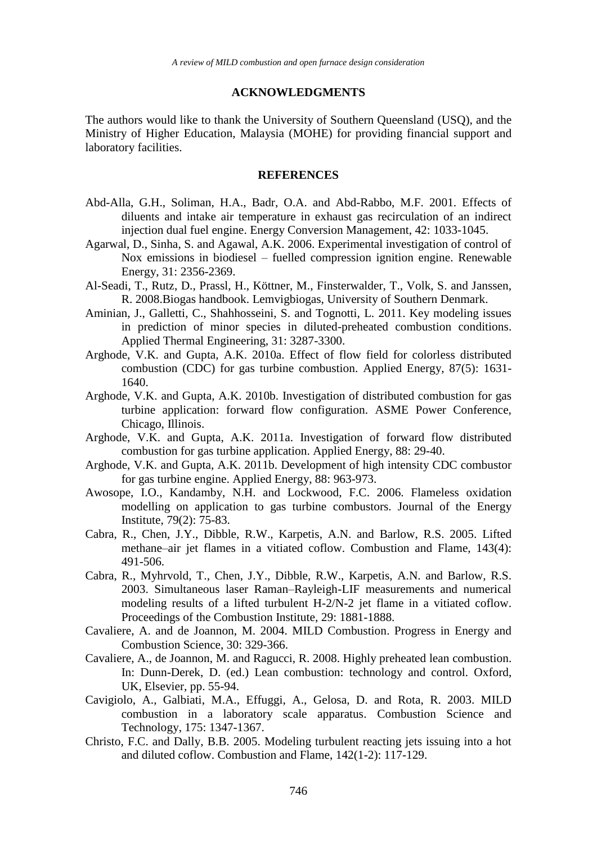#### **ACKNOWLEDGMENTS**

The authors would like to thank the University of Southern Queensland (USQ), and the Ministry of Higher Education, Malaysia (MOHE) for providing financial support and laboratory facilities.

### **REFERENCES**

- Abd-Alla, G.H., Soliman, H.A., Badr, O.A. and Abd-Rabbo, M.F. 2001. Effects of diluents and intake air temperature in exhaust gas recirculation of an indirect injection dual fuel engine. Energy Conversion Management, 42: 1033-1045.
- Agarwal, D., Sinha, S. and Agawal, A.K. 2006. Experimental investigation of control of Nox emissions in biodiesel – fuelled compression ignition engine. Renewable Energy, 31: 2356-2369.
- Al-Seadi, T., Rutz, D., Prassl, H., Köttner, M., Finsterwalder, T., Volk, S. and Janssen, R. 2008.Biogas handbook. Lemvigbiogas, University of Southern Denmark.
- Aminian, J., Galletti, C., Shahhosseini, S. and Tognotti, L. 2011. Key modeling issues in prediction of minor species in diluted-preheated combustion conditions. Applied Thermal Engineering, 31: 3287-3300.
- Arghode, V.K. and Gupta, A.K. 2010a. Effect of flow field for colorless distributed combustion (CDC) for gas turbine combustion. Applied Energy, 87(5): 1631- 1640.
- Arghode, V.K. and Gupta, A.K. 2010b. Investigation of distributed combustion for gas turbine application: forward flow configuration. ASME Power Conference, Chicago, Illinois.
- Arghode, V.K. and Gupta, A.K. 2011a. Investigation of forward flow distributed combustion for gas turbine application. Applied Energy, 88: 29-40.
- Arghode, V.K. and Gupta, A.K. 2011b. Development of high intensity CDC combustor for gas turbine engine. Applied Energy, 88: 963-973.
- Awosope, I.O., Kandamby, N.H. and Lockwood, F.C. 2006. Flameless oxidation modelling on application to gas turbine combustors. Journal of the Energy Institute, 79(2): 75-83.
- Cabra, R., Chen, J.Y., Dibble, R.W., Karpetis, A.N. and Barlow, R.S. 2005. Lifted methane–air jet flames in a vitiated coflow. Combustion and Flame, 143(4): 491-506.
- Cabra, R., Myhrvold, T., Chen, J.Y., Dibble, R.W., Karpetis, A.N. and Barlow, R.S. 2003. Simultaneous laser Raman–Rayleigh-LIF measurements and numerical modeling results of a lifted turbulent H-2/N-2 jet flame in a vitiated coflow. Proceedings of the Combustion Institute, 29: 1881-1888.
- Cavaliere, A. and de Joannon, M. 2004. MILD Combustion. Progress in Energy and Combustion Science, 30: 329-366.
- Cavaliere, A., de Joannon, M. and Ragucci, R. 2008. Highly preheated lean combustion. In: Dunn-Derek, D. (ed.) Lean combustion: technology and control. Oxford, UK, Elsevier, pp. 55-94.
- Cavigiolo, A., Galbiati, M.A., Effuggi, A., Gelosa, D. and Rota, R. 2003. MILD combustion in a laboratory scale apparatus. Combustion Science and Technology, 175: 1347-1367.
- Christo, F.C. and Dally, B.B. 2005. Modeling turbulent reacting jets issuing into a hot and diluted coflow. Combustion and Flame, 142(1-2): 117-129.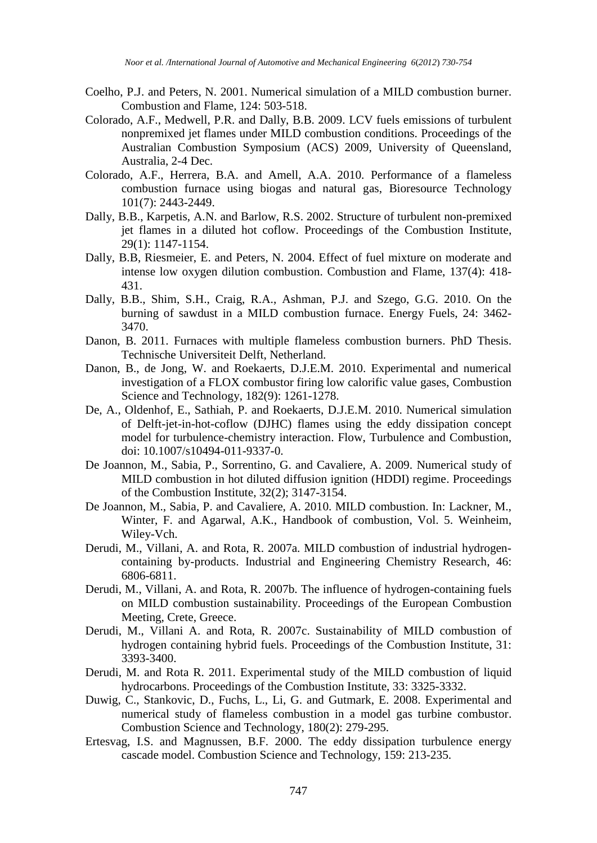- Coelho, P.J. and Peters, N. 2001. Numerical simulation of a MILD combustion burner. Combustion and Flame, 124: 503-518.
- Colorado, A.F., Medwell, P.R. and Dally, B.B. 2009. LCV fuels emissions of turbulent nonpremixed jet flames under MILD combustion conditions. Proceedings of the Australian Combustion Symposium (ACS) 2009, University of Queensland, Australia, 2-4 Dec.
- Colorado, A.F., Herrera, B.A. and Amell, A.A. 2010. Performance of a flameless combustion furnace using biogas and natural gas, Bioresource Technology 101(7): 2443-2449.
- Dally, B.B., Karpetis, A.N. and Barlow, R.S. 2002. Structure of turbulent non-premixed jet flames in a diluted hot coflow. Proceedings of the Combustion Institute, 29(1): 1147-1154.
- Dally, B.B, Riesmeier, E. and Peters, N. 2004. Effect of fuel mixture on moderate and intense low oxygen dilution combustion. Combustion and Flame, 137(4): 418- 431.
- Dally, B.B., Shim, S.H., Craig, R.A., Ashman, P.J. and Szego, G.G. 2010. On the burning of sawdust in a MILD combustion furnace. Energy Fuels, 24: 3462- 3470.
- Danon, B. 2011. Furnaces with multiple flameless combustion burners. PhD Thesis. Technische Universiteit Delft, Netherland.
- Danon, B., de Jong, W. and Roekaerts, D.J.E.M. 2010. Experimental and numerical investigation of a FLOX combustor firing low calorific value gases, Combustion Science and Technology, 182(9): 1261-1278.
- De, A., Oldenhof, E., Sathiah, P. and Roekaerts, D.J.E.M. 2010. Numerical simulation of Delft-jet-in-hot-coflow (DJHC) flames using the eddy dissipation concept model for turbulence-chemistry interaction. Flow, Turbulence and Combustion, doi: 10.1007/s10494-011-9337-0.
- De Joannon, M., Sabia, P., Sorrentino, G. and Cavaliere, A. 2009. Numerical study of MILD combustion in hot diluted diffusion ignition (HDDI) regime. Proceedings of the Combustion Institute, 32(2); 3147-3154.
- De Joannon, M., Sabia, P. and Cavaliere, A. 2010. MILD combustion. In: Lackner, M., Winter, F. and Agarwal, A.K., Handbook of combustion, Vol. 5. Weinheim, Wiley-Vch.
- Derudi, M., Villani, A. and Rota, R. 2007a. MILD combustion of industrial hydrogencontaining by-products. Industrial and Engineering Chemistry Research, 46: 6806-6811.
- Derudi, M., Villani, A. and Rota, R. 2007b. The influence of hydrogen-containing fuels on MILD combustion sustainability. Proceedings of the European Combustion Meeting, Crete, Greece.
- Derudi, M., Villani A. and Rota, R. 2007c. Sustainability of MILD combustion of hydrogen containing hybrid fuels. Proceedings of the Combustion Institute, 31: 3393-3400.
- Derudi, M. and Rota R. 2011. Experimental study of the MILD combustion of liquid hydrocarbons. Proceedings of the Combustion Institute, 33: 3325-3332.
- Duwig, C., Stankovic, D., Fuchs, L., Li, G. and Gutmark, E. 2008. Experimental and numerical study of flameless combustion in a model gas turbine combustor. Combustion Science and Technology, 180(2): 279-295.
- Ertesvag, I.S. and Magnussen, B.F. 2000. The eddy dissipation turbulence energy cascade model. Combustion Science and Technology, 159: 213-235.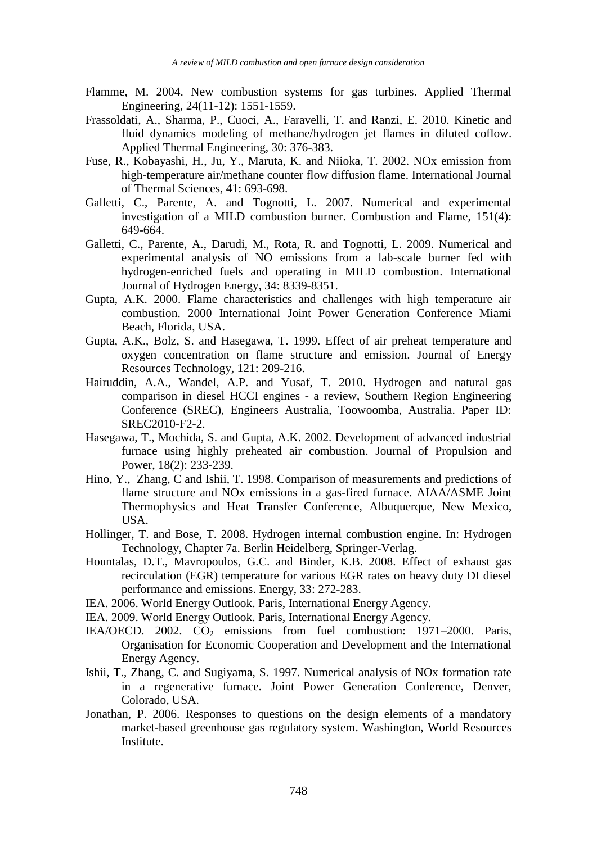- Flamme, M. 2004. New combustion systems for gas turbines. Applied Thermal Engineering, 24(11-12): 1551-1559.
- Frassoldati, A., Sharma, P., Cuoci, A., Faravelli, T. and Ranzi, E. 2010. Kinetic and fluid dynamics modeling of methane/hydrogen jet flames in diluted coflow. Applied Thermal Engineering, 30: 376-383.
- Fuse, R., Kobayashi, H., Ju, Y., Maruta, K. and Niioka, T. 2002. NOx emission from high-temperature air/methane counter flow diffusion flame. International Journal of Thermal Sciences, 41: 693-698.
- Galletti, C., Parente, A. and Tognotti, L. 2007. Numerical and experimental investigation of a MILD combustion burner. Combustion and Flame, 151(4): 649-664.
- Galletti, C., Parente, A., Darudi, M., Rota, R. and Tognotti, L. 2009. Numerical and experimental analysis of NO emissions from a lab-scale burner fed with hydrogen-enriched fuels and operating in MILD combustion. International Journal of Hydrogen Energy, 34: 8339-8351.
- Gupta, A.K. 2000. Flame characteristics and challenges with high temperature air combustion. 2000 International Joint Power Generation Conference Miami Beach, Florida, USA.
- Gupta, A.K., Bolz, S. and Hasegawa, T. 1999. Effect of air preheat temperature and oxygen concentration on flame structure and emission. Journal of Energy Resources Technology, 121: 209-216.
- Hairuddin, A.A., Wandel, A.P. and Yusaf, T. 2010. Hydrogen and natural gas comparison in diesel HCCI engines - a review, Southern Region Engineering Conference (SREC), Engineers Australia, Toowoomba, Australia. Paper ID: SREC2010-F2-2.
- Hasegawa, T., Mochida, S. and Gupta, A.K. 2002. Development of advanced industrial furnace using highly preheated air combustion. Journal of Propulsion and Power, 18(2): 233-239.
- Hino, Y., Zhang, C and Ishii, T. 1998. Comparison of measurements and predictions of flame structure and NOx emissions in a gas-fired furnace. AIAA/ASME Joint Thermophysics and Heat Transfer Conference, Albuquerque, New Mexico, USA.
- Hollinger, T. and Bose, T. 2008. Hydrogen internal combustion engine. In: Hydrogen Technology, Chapter 7a. Berlin Heidelberg, Springer-Verlag.
- Hountalas, D.T., Mavropoulos, G.C. and Binder, K.B. 2008. Effect of exhaust gas recirculation (EGR) temperature for various EGR rates on heavy duty DI diesel performance and emissions. Energy, 33: 272-283.
- IEA. 2006. World Energy Outlook. Paris, International Energy Agency.
- IEA. 2009. World Energy Outlook. Paris, International Energy Agency.
- IEA/OECD. 2002.  $CO<sub>2</sub>$  emissions from fuel combustion: 1971–2000. Paris, Organisation for Economic Cooperation and Development and the International Energy Agency.
- Ishii, T., Zhang, C. and Sugiyama, S. 1997. Numerical analysis of NOx formation rate in a regenerative furnace. Joint Power Generation Conference, Denver, Colorado, USA.
- Jonathan, P. 2006. Responses to questions on the design elements of a mandatory market-based greenhouse gas regulatory system. Washington, World Resources Institute.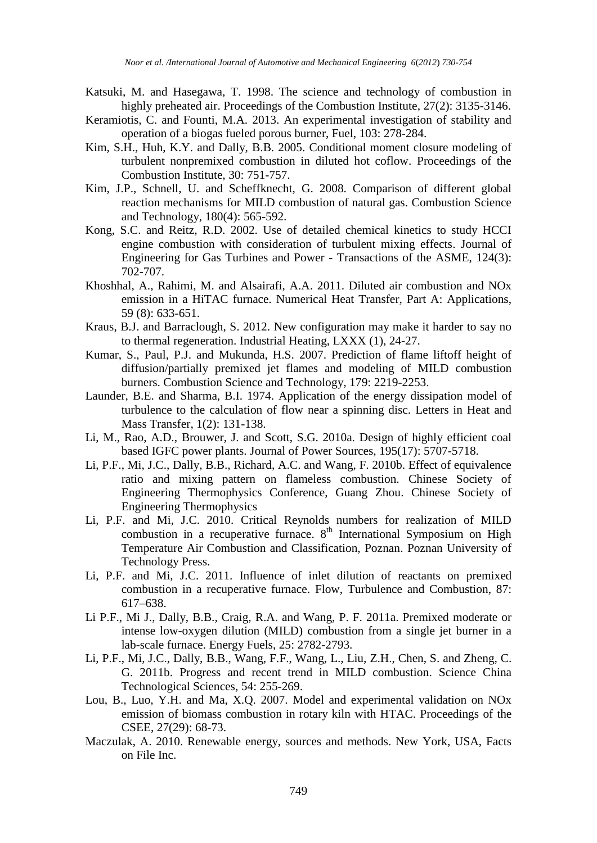- Katsuki, M. and Hasegawa, T. 1998. The science and technology of combustion in highly preheated air. Proceedings of the Combustion Institute, 27(2): 3135-3146.
- Keramiotis, C. and Founti, M.A. 2013. An experimental investigation of stability and operation of a biogas fueled porous burner, Fuel, 103: 278-284.
- Kim, S.H., Huh, K.Y. and Dally, B.B. 2005. Conditional moment closure modeling of turbulent nonpremixed combustion in diluted hot coflow. Proceedings of the Combustion Institute, 30: 751-757.
- Kim, J.P., Schnell, U. and Scheffknecht, G. 2008. Comparison of different global reaction mechanisms for MILD combustion of natural gas. Combustion Science and Technology, 180(4): 565-592.
- Kong, S.C. and Reitz, R.D. 2002. Use of detailed chemical kinetics to study HCCI engine combustion with consideration of turbulent mixing effects. Journal of Engineering for Gas Turbines and Power - Transactions of the ASME, 124(3): 702-707.
- Khoshhal, A., Rahimi, M. and Alsairafi, A.A. 2011. Diluted air combustion and NOx emission in a HiTAC furnace. Numerical Heat Transfer, Part A: Applications, 59 (8): 633-651.
- Kraus, B.J. and Barraclough, S. 2012. New configuration may make it harder to say no to thermal regeneration. Industrial Heating, LXXX (1), 24-27.
- Kumar, S., Paul, P.J. and Mukunda, H.S. 2007. Prediction of flame liftoff height of diffusion/partially premixed jet flames and modeling of MILD combustion burners. Combustion Science and Technology, 179: 2219-2253.
- Launder, B.E. and Sharma, B.I. 1974. Application of the energy dissipation model of turbulence to the calculation of flow near a spinning disc. Letters in Heat and Mass Transfer, 1(2): 131-138.
- Li, M., Rao, A.D., Brouwer, J. and Scott, S.G. 2010a. Design of highly efficient coal based IGFC power plants. Journal of Power Sources, 195(17): 5707-5718.
- Li, P.F., Mi, J.C., Dally, B.B., Richard, A.C. and Wang, F. 2010b. Effect of equivalence ratio and mixing pattern on flameless combustion. Chinese Society of Engineering Thermophysics Conference, Guang Zhou. Chinese Society of Engineering Thermophysics
- Li, P.F. and Mi, J.C. 2010. Critical Reynolds numbers for realization of MILD combustion in a recuperative furnace.  $8<sup>th</sup>$  International Symposium on High Temperature Air Combustion and Classification, Poznan. Poznan University of Technology Press.
- Li, P.F. and Mi, J.C. 2011. Influence of inlet dilution of reactants on premixed combustion in a recuperative furnace. Flow, Turbulence and Combustion, 87: 617–638.
- Li P.F., Mi J., Dally, B.B., Craig, R.A. and Wang, P. F. 2011a. Premixed moderate or intense low-oxygen dilution (MILD) combustion from a single jet burner in a lab-scale furnace. Energy Fuels, 25: 2782-2793.
- Li, P.F., Mi, J.C., Dally, B.B., Wang, F.F., Wang, L., Liu, Z.H., Chen, S. and Zheng, C. G. 2011b. Progress and recent trend in MILD combustion. Science China Technological Sciences, 54: 255-269.
- Lou, B., Luo, Y.H. and Ma, X.Q. 2007. Model and experimental validation on NOx emission of biomass combustion in rotary kiln with HTAC. Proceedings of the CSEE, 27(29): 68-73.
- Maczulak, A. 2010. Renewable energy, sources and methods. New York, USA, Facts on File Inc.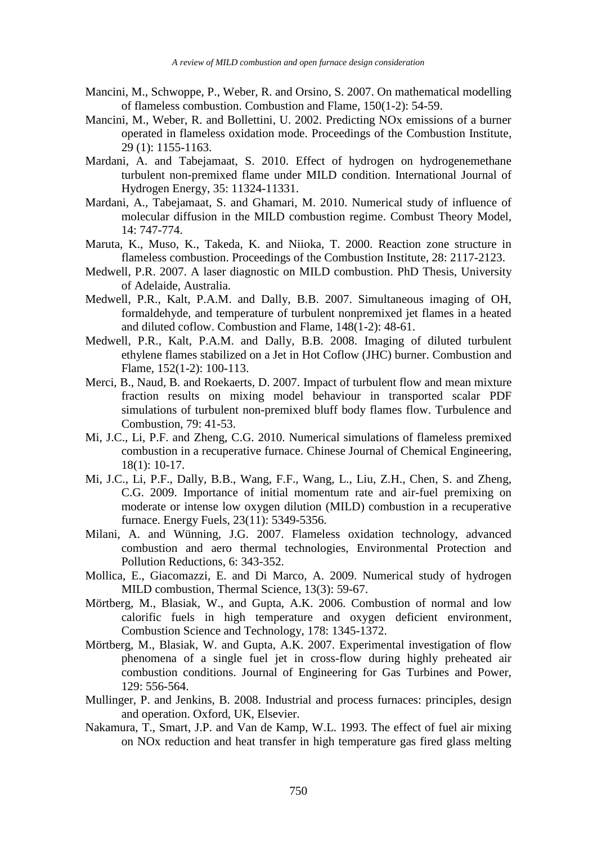- Mancini, M., Schwoppe, P., Weber, R. and Orsino, S. 2007. On mathematical modelling of flameless combustion. Combustion and Flame, 150(1-2): 54-59.
- Mancini, M., Weber, R. and Bollettini, U. 2002. Predicting NOx emissions of a burner operated in flameless oxidation mode. Proceedings of the Combustion Institute, 29 (1): 1155-1163.
- Mardani, A. and Tabejamaat, S. 2010. Effect of hydrogen on hydrogenemethane turbulent non-premixed flame under MILD condition. International Journal of Hydrogen Energy, 35: 11324-11331.
- Mardani, A., Tabejamaat, S. and Ghamari, M. 2010. Numerical study of influence of molecular diffusion in the MILD combustion regime. Combust Theory Model, 14: 747-774.
- Maruta, K., Muso, K., Takeda, K. and Niioka, T. 2000. Reaction zone structure in flameless combustion. Proceedings of the Combustion Institute, 28: 2117-2123.
- Medwell, P.R. 2007. A laser diagnostic on MILD combustion. PhD Thesis, University of Adelaide, Australia.
- Medwell, P.R., Kalt, P.A.M. and Dally, B.B. 2007. Simultaneous imaging of OH, formaldehyde, and temperature of turbulent nonpremixed jet flames in a heated and diluted coflow. Combustion and Flame, 148(1-2): 48-61.
- Medwell, P.R., Kalt, P.A.M. and Dally, B.B. 2008. Imaging of diluted turbulent ethylene flames stabilized on a Jet in Hot Coflow (JHC) burner. Combustion and Flame, 152(1-2): 100-113.
- Merci, B., Naud, B. and Roekaerts, D. 2007. Impact of turbulent flow and mean mixture fraction results on mixing model behaviour in transported scalar PDF simulations of turbulent non-premixed bluff body flames flow. Turbulence and Combustion, 79: 41-53.
- Mi, J.C., Li, P.F. and Zheng, C.G. 2010. Numerical simulations of flameless premixed combustion in a recuperative furnace. Chinese Journal of Chemical Engineering, 18(1): 10-17.
- Mi, J.C., Li, P.F., Dally, B.B., Wang, F.F., Wang, L., Liu, Z.H., Chen, S. and Zheng, C.G. 2009. Importance of initial momentum rate and air-fuel premixing on moderate or intense low oxygen dilution (MILD) combustion in a recuperative furnace. Energy Fuels, 23(11): 5349-5356.
- Milani, A. and Wünning, J.G. 2007. Flameless oxidation technology, advanced combustion and aero thermal technologies, Environmental Protection and Pollution Reductions, 6: 343-352.
- Mollica, E., Giacomazzi, E. and Di Marco, A. 2009. Numerical study of hydrogen MILD combustion, Thermal Science, 13(3): 59-67.
- Mörtberg, M., Blasiak, W., and Gupta, A.K. 2006. Combustion of normal and low calorific fuels in high temperature and oxygen deficient environment, Combustion Science and Technology, 178: 1345-1372.
- Mörtberg, M., Blasiak, W. and Gupta, A.K. 2007. Experimental investigation of flow phenomena of a single fuel jet in cross-flow during highly preheated air combustion conditions. Journal of Engineering for Gas Turbines and Power, 129: 556-564.
- Mullinger, P. and Jenkins, B. 2008. Industrial and process furnaces: principles, design and operation. Oxford, UK, Elsevier.
- Nakamura, T., Smart, J.P. and Van de Kamp, W.L. 1993. The effect of fuel air mixing on NOx reduction and heat transfer in high temperature gas fired glass melting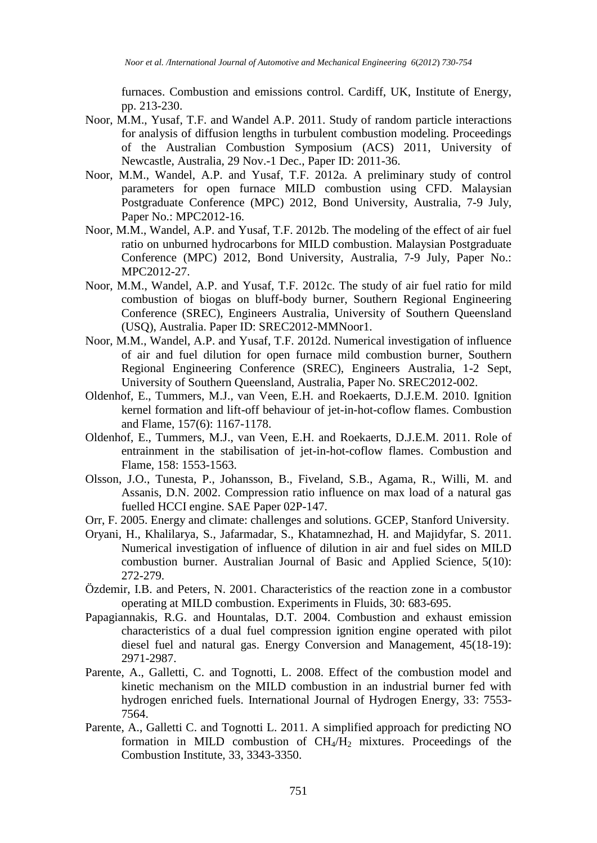furnaces. Combustion and emissions control. Cardiff, UK, Institute of Energy, pp. 213-230.

- Noor, M.M., Yusaf, T.F. and Wandel A.P. 2011. Study of random particle interactions for analysis of diffusion lengths in turbulent combustion modeling. Proceedings of the Australian Combustion Symposium (ACS) 2011, University of Newcastle, Australia, 29 Nov.-1 Dec., Paper ID: 2011-36.
- Noor, M.M., Wandel, A.P. and Yusaf, T.F. 2012a. A preliminary study of control parameters for open furnace MILD combustion using CFD. Malaysian Postgraduate Conference (MPC) 2012, Bond University, Australia, 7-9 July, Paper No.: MPC2012-16.
- Noor, M.M., Wandel, A.P. and Yusaf, T.F. 2012b. The modeling of the effect of air fuel ratio on unburned hydrocarbons for MILD combustion. Malaysian Postgraduate Conference (MPC) 2012, Bond University, Australia, 7-9 July, Paper No.: MPC2012-27.
- Noor, M.M., Wandel, A.P. and Yusaf, T.F. 2012c. The study of air fuel ratio for mild combustion of biogas on bluff-body burner, Southern Regional Engineering Conference (SREC), Engineers Australia, University of Southern Queensland (USQ), Australia. Paper ID: SREC2012-MMNoor1.
- Noor, M.M., Wandel, A.P. and Yusaf, T.F. 2012d. Numerical investigation of influence of air and fuel dilution for open furnace mild combustion burner, Southern Regional Engineering Conference (SREC), Engineers Australia, 1-2 Sept, University of Southern Queensland, Australia, Paper No. SREC2012-002.
- Oldenhof, E., Tummers, M.J., van Veen, E.H. and Roekaerts, D.J.E.M. 2010. Ignition kernel formation and lift-off behaviour of jet-in-hot-coflow flames. Combustion and Flame, 157(6): 1167-1178.
- Oldenhof, E., Tummers, M.J., van Veen, E.H. and Roekaerts, D.J.E.M. 2011. Role of entrainment in the stabilisation of jet-in-hot-coflow flames. Combustion and Flame, 158: 1553-1563.
- Olsson, J.O., Tunesta, P., Johansson, B., Fiveland, S.B., Agama, R., Willi, M. and Assanis, D.N. 2002. Compression ratio influence on max load of a natural gas fuelled HCCI engine. SAE Paper 02P-147.
- Orr, F. 2005. Energy and climate: challenges and solutions. GCEP, Stanford University.
- Oryani, H., Khalilarya, S., Jafarmadar, S., Khatamnezhad, H. and Majidyfar, S. 2011. Numerical investigation of influence of dilution in air and fuel sides on MILD combustion burner. Australian Journal of Basic and Applied Science, 5(10): 272-279.
- Özdemir, I.B. and Peters, N. 2001. Characteristics of the reaction zone in a combustor operating at MILD combustion. Experiments in Fluids, 30: 683-695.
- Papagiannakis, R.G. and Hountalas, D.T. 2004. Combustion and exhaust emission characteristics of a dual fuel compression ignition engine operated with pilot diesel fuel and natural gas. Energy Conversion and Management, 45(18-19): 2971-2987.
- Parente, A., Galletti, C. and Tognotti, L. 2008. Effect of the combustion model and kinetic mechanism on the MILD combustion in an industrial burner fed with hydrogen enriched fuels. International Journal of Hydrogen Energy, 33: 7553- 7564.
- Parente, A., Galletti C. and Tognotti L. 2011. A simplified approach for predicting NO formation in MILD combustion of  $CH_4/H_2$  mixtures. Proceedings of the Combustion Institute, 33, 3343-3350.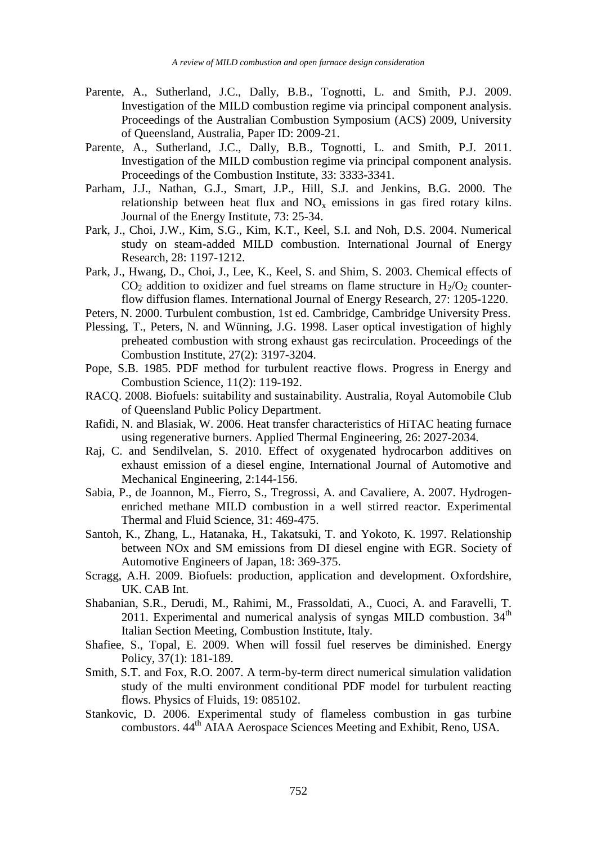- Parente, A., Sutherland, J.C., Dally, B.B., Tognotti, L. and Smith, P.J. 2009. Investigation of the MILD combustion regime via principal component analysis. Proceedings of the Australian Combustion Symposium (ACS) 2009, University of Queensland, Australia, Paper ID: 2009-21.
- Parente, A., Sutherland, J.C., Dally, B.B., Tognotti, L. and Smith, P.J. 2011. Investigation of the MILD combustion regime via principal component analysis. Proceedings of the Combustion Institute, 33: 3333-3341.
- Parham, J.J., Nathan, G.J., Smart, J.P., Hill, S.J. and Jenkins, B.G. 2000. The relationship between heat flux and  $NO<sub>x</sub>$  emissions in gas fired rotary kilns. Journal of the Energy Institute, 73: 25-34.
- Park, J., Choi, J.W., Kim, S.G., Kim, K.T., Keel, S.I. and Noh, D.S. 2004. Numerical study on steam-added MILD combustion. International Journal of Energy Research, 28: 1197-1212.
- Park, J., Hwang, D., Choi, J., Lee, K., Keel, S. and Shim, S. 2003. Chemical effects of  $CO<sub>2</sub>$  addition to oxidizer and fuel streams on flame structure in  $H<sub>2</sub>/O<sub>2</sub>$  counterflow diffusion flames. International Journal of Energy Research, 27: 1205-1220.
- Peters, N. 2000. Turbulent combustion, 1st ed. Cambridge, Cambridge University Press.
- Plessing, T., Peters, N. and Wünning, J.G. 1998. Laser optical investigation of highly preheated combustion with strong exhaust gas recirculation. Proceedings of the Combustion Institute, 27(2): 3197-3204.
- Pope, S.B. 1985. PDF method for turbulent reactive flows. Progress in Energy and Combustion Science, 11(2): 119-192.
- RACQ. 2008. Biofuels: suitability and sustainability. Australia, Royal Automobile Club of Queensland Public Policy Department.
- Rafidi, N. and Blasiak, W. 2006. Heat transfer characteristics of HiTAC heating furnace using regenerative burners. Applied Thermal Engineering, 26: 2027-2034.
- Raj, C. and Sendilvelan, S. 2010. Effect of oxygenated hydrocarbon additives on exhaust emission of a diesel engine, International Journal of Automotive and Mechanical Engineering, 2:144-156.
- Sabia, P., de Joannon, M., Fierro, S., Tregrossi, A. and Cavaliere, A. 2007. Hydrogenenriched methane MILD combustion in a well stirred reactor. Experimental Thermal and Fluid Science, 31: 469-475.
- Santoh, K., Zhang, L., Hatanaka, H., Takatsuki, T. and Yokoto, K. 1997. Relationship between NOx and SM emissions from DI diesel engine with EGR. Society of Automotive Engineers of Japan, 18: 369-375.
- Scragg, A.H. 2009. Biofuels: production, application and development. Oxfordshire, UK. CAB Int.
- Shabanian, S.R., Derudi, M., Rahimi, M., Frassoldati, A., Cuoci, A. and Faravelli, T. 2011. Experimental and numerical analysis of syngas MILD combustion.  $34<sup>th</sup>$ Italian Section Meeting, Combustion Institute, Italy.
- Shafiee, S., Topal, E. 2009. When will fossil fuel reserves be diminished. Energy Policy, 37(1): 181-189.
- Smith, S.T. and Fox, R.O. 2007. A term-by-term direct numerical simulation validation study of the multi environment conditional PDF model for turbulent reacting flows. Physics of Fluids, 19: 085102.
- Stankovic, D. 2006. Experimental study of flameless combustion in gas turbine combustors.  $44<sup>th</sup>$  AIAA Aerospace Sciences Meeting and Exhibit, Reno, USA.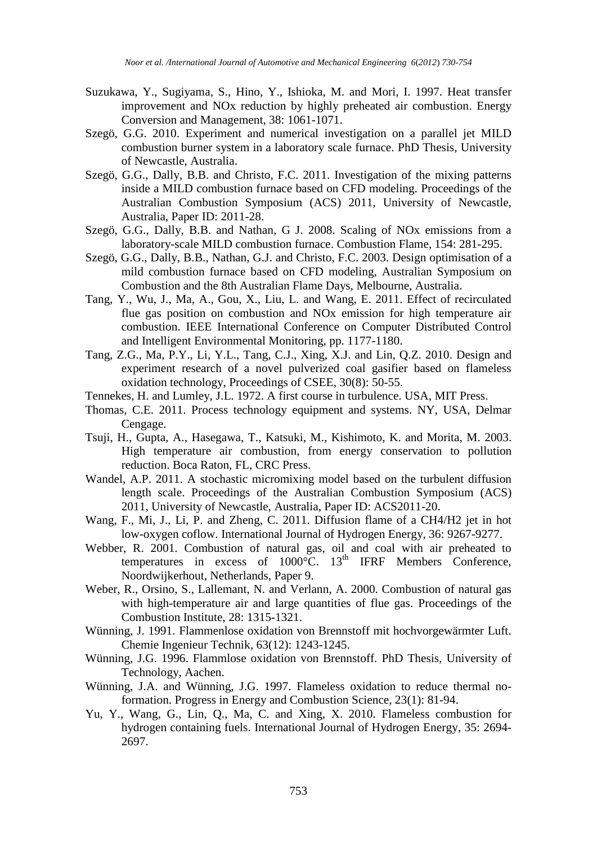- Suzukawa, Y., Sugiyama, S., Hino, Y., Ishioka, M. and Mori, I. 1997. Heat transfer improvement and NOx reduction by highly preheated air combustion. Energy Conversion and Management, 38: 1061-1071.
- Szegö, G.G. 2010. Experiment and numerical investigation on a parallel jet MILD combustion burner system in a laboratory scale furnace. PhD Thesis, University of Newcastle, Australia.
- Szegö, G.G., Dally, B.B. and Christo, F.C. 2011. Investigation of the mixing patterns inside a MILD combustion furnace based on CFD modeling. Proceedings of the Australian Combustion Symposium (ACS) 2011, University of Newcastle, Australia, Paper ID: 2011-28.
- Szegö, G.G., Dally, B.B. and Nathan, G J. 2008. Scaling of NOx emissions from a laboratory-scale MILD combustion furnace. Combustion Flame, 154: 281-295.
- Szegö, G.G., Dally, B.B., Nathan, G.J. and Christo, F.C. 2003. Design optimisation of a mild combustion furnace based on CFD modeling, Australian Symposium on Combustion and the 8th Australian Flame Days, Melbourne, Australia.
- Tang, Y., Wu, J., Ma, A., Gou, X., Liu, L. and Wang, E. 2011. Effect of recirculated flue gas position on combustion and NOx emission for high temperature air combustion. IEEE International Conference on Computer Distributed Control and Intelligent Environmental Monitoring, pp. 1177-1180.
- Tang, Z.G., Ma, P.Y., Li, Y.L., Tang, C.J., Xing, X.J. and Lin, Q.Z. 2010. Design and experiment research of a novel pulverized coal gasifier based on flameless oxidation technology, Proceedings of CSEE, 30(8): 50-55.
- Tennekes, H. and Lumley, J.L. 1972. A first course in turbulence. USA, MIT Press.
- Thomas, C.E. 2011. Process technology equipment and systems. NY, USA, Delmar Cengage.
- Tsuji, H., Gupta, A., Hasegawa, T., Katsuki, M., Kishimoto, K. and Morita, M. 2003. High temperature air combustion, from energy conservation to pollution reduction. Boca Raton, FL, CRC Press.
- Wandel, A.P. 2011. A stochastic micromixing model based on the turbulent diffusion length scale. Proceedings of the Australian Combustion Symposium (ACS) 2011, University of Newcastle, Australia, Paper ID: ACS2011-20.
- Wang, F., Mi, J., Li, P. and Zheng, C. 2011. Diffusion flame of a CH4/H2 jet in hot low-oxygen coflow. International Journal of Hydrogen Energy, 36: 9267-9277.
- Webber, R. 2001. Combustion of natural gas, oil and coal with air preheated to temperatures in excess of 1000°C. 13<sup>th</sup> IFRF Members Conference, Noordwijkerhout, Netherlands, Paper 9.
- Weber, R., Orsino, S., Lallemant, N. and Verlann, A. 2000. Combustion of natural gas with high-temperature air and large quantities of flue gas. Proceedings of the Combustion Institute, 28: 1315-1321.
- Wünning, J. 1991. Flammenlose oxidation von Brennstoff mit hochvorgewärmter Luft. Chemie Ingenieur Technik, 63(12): 1243-1245.
- Wünning, J.G. 1996. Flammlose oxidation von Brennstoff. PhD Thesis, University of Technology, Aachen.
- Wünning, J.A. and Wünning, J.G. 1997. Flameless oxidation to reduce thermal noformation. Progress in Energy and Combustion Science, 23(1): 81-94.
- Yu, Y., Wang, G., Lin, Q., Ma, C. and Xing, X. 2010. Flameless combustion for hydrogen containing fuels. International Journal of Hydrogen Energy, 35: 2694- 2697.